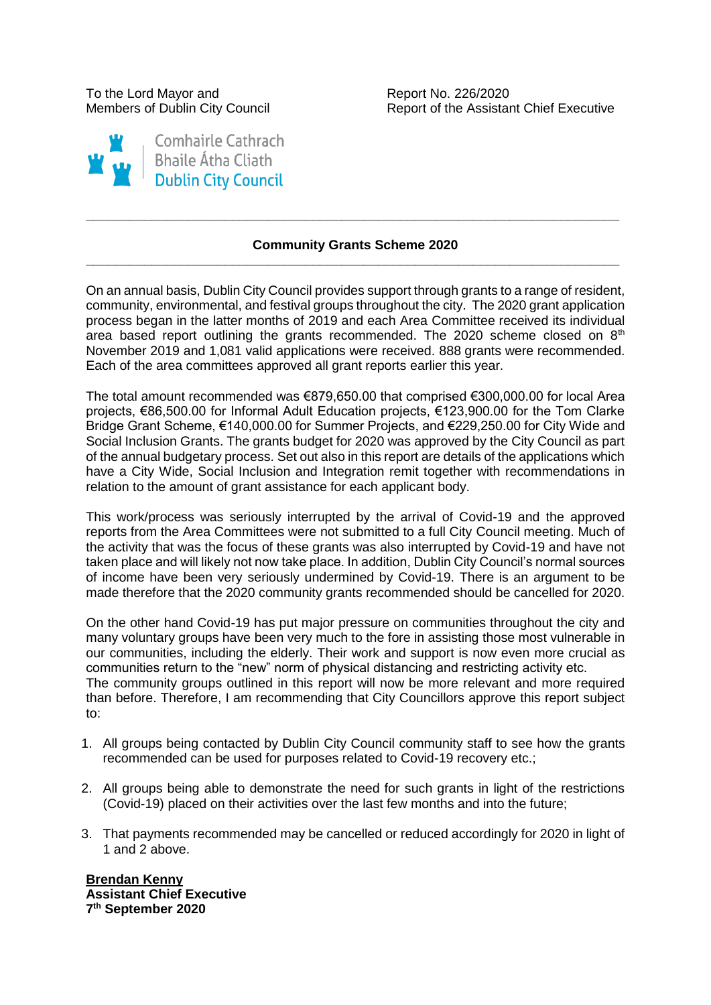To the Lord Mayor and The Report No. 226/2020

Comhairle Cathrach Bhaile Átha Cliath<br>Dublin City Council

Members of Dublin City Council **Report of the Assistant Chief Executive** 

#### **Community Grants Scheme 2020 \_\_\_\_\_\_\_\_\_\_\_\_\_\_\_\_\_\_\_\_\_\_\_\_\_\_\_\_\_\_\_\_\_\_\_\_\_\_\_\_\_\_\_\_\_\_\_\_\_\_\_\_\_\_\_\_\_\_\_\_\_\_\_\_\_\_\_\_\_\_\_\_\_**

**\_\_\_\_\_\_\_\_\_\_\_\_\_\_\_\_\_\_\_\_\_\_\_\_\_\_\_\_\_\_\_\_\_\_\_\_\_\_\_\_\_\_\_\_\_\_\_\_\_\_\_\_\_\_\_\_\_\_\_\_\_\_\_\_\_\_\_\_\_\_\_\_\_**

On an annual basis, Dublin City Council provides support through grants to a range of resident, community, environmental, and festival groups throughout the city. The 2020 grant application process began in the latter months of 2019 and each Area Committee received its individual area based report outlining the grants recommended. The 2020 scheme closed on  $8<sup>th</sup>$ November 2019 and 1,081 valid applications were received. 888 grants were recommended. Each of the area committees approved all grant reports earlier this year.

The total amount recommended was €879,650.00 that comprised €300,000.00 for local Area projects, €86,500.00 for Informal Adult Education projects, €123,900.00 for the Tom Clarke Bridge Grant Scheme, €140,000.00 for Summer Projects, and €229,250.00 for City Wide and Social Inclusion Grants. The grants budget for 2020 was approved by the City Council as part of the annual budgetary process. Set out also in this report are details of the applications which have a City Wide, Social Inclusion and Integration remit together with recommendations in relation to the amount of grant assistance for each applicant body.

This work/process was seriously interrupted by the arrival of Covid-19 and the approved reports from the Area Committees were not submitted to a full City Council meeting. Much of the activity that was the focus of these grants was also interrupted by Covid-19 and have not taken place and will likely not now take place. In addition, Dublin City Council's normal sources of income have been very seriously undermined by Covid-19. There is an argument to be made therefore that the 2020 community grants recommended should be cancelled for 2020.

On the other hand Covid-19 has put major pressure on communities throughout the city and many voluntary groups have been very much to the fore in assisting those most vulnerable in our communities, including the elderly. Their work and support is now even more crucial as communities return to the "new" norm of physical distancing and restricting activity etc. The community groups outlined in this report will now be more relevant and more required than before. Therefore, I am recommending that City Councillors approve this report subject to:

- 1. All groups being contacted by Dublin City Council community staff to see how the grants recommended can be used for purposes related to Covid-19 recovery etc.;
- 2. All groups being able to demonstrate the need for such grants in light of the restrictions (Covid-19) placed on their activities over the last few months and into the future;
- 3. That payments recommended may be cancelled or reduced accordingly for 2020 in light of 1 and 2 above.

**Brendan Kenny Assistant Chief Executive 7 th September 2020**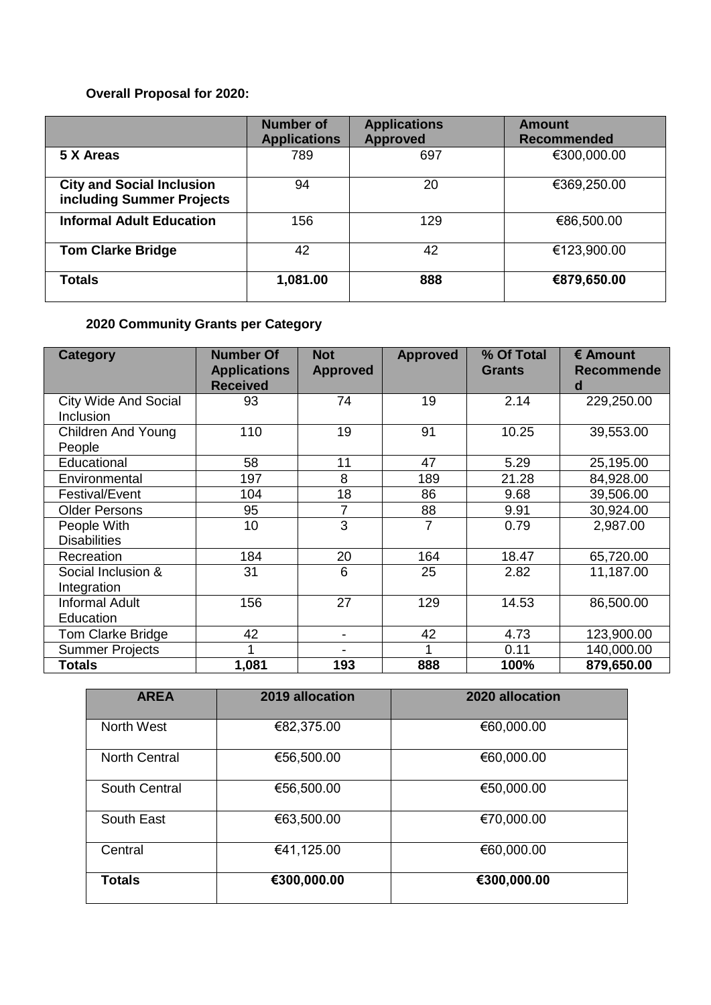# **Overall Proposal for 2020:**

|                                                               | <b>Number of</b><br><b>Applications</b> | <b>Applications</b><br><b>Approved</b> | <b>Amount</b><br><b>Recommended</b> |
|---------------------------------------------------------------|-----------------------------------------|----------------------------------------|-------------------------------------|
| 5 X Areas                                                     | 789                                     | 697                                    | €300,000.00                         |
| <b>City and Social Inclusion</b><br>including Summer Projects | 94                                      | 20                                     | €369,250.00                         |
| <b>Informal Adult Education</b>                               | 156                                     | 129                                    | €86,500.00                          |
| <b>Tom Clarke Bridge</b>                                      | 42                                      | 42                                     | €123,900.00                         |
| <b>Totals</b>                                                 | 1,081.00                                | 888                                    | €879,650.00                         |

# **2020 Community Grants per Category**

| <b>Category</b>                                 | <b>Number Of</b><br><b>Applications</b><br><b>Received</b> | <b>Not</b><br><b>Approved</b> | <b>Approved</b> | % Of Total<br><b>Grants</b> | € Amount<br><b>Recommende</b><br>d |
|-------------------------------------------------|------------------------------------------------------------|-------------------------------|-----------------|-----------------------------|------------------------------------|
| <b>City Wide And Social</b><br><b>Inclusion</b> | 93                                                         | 74                            | 19              | 2.14                        | 229,250.00                         |
| <b>Children And Young</b><br>People             | 110                                                        | 19                            | 91              | 10.25                       | 39,553.00                          |
| Educational                                     | 58                                                         | 11                            | 47              | 5.29                        | 25,195.00                          |
| Environmental                                   | 197                                                        | 8                             | 189             | 21.28                       | 84,928.00                          |
| Festival/Event                                  | 104                                                        | 18                            | 86              | 9.68                        | 39,506.00                          |
| <b>Older Persons</b>                            | 95                                                         | 7                             | 88              | 9.91                        | 30,924.00                          |
| People With<br><b>Disabilities</b>              | 10                                                         | 3                             | $\overline{7}$  | 0.79                        | 2,987.00                           |
| Recreation                                      | 184                                                        | 20                            | 164             | 18.47                       | 65,720.00                          |
| Social Inclusion &<br>Integration               | 31                                                         | 6                             | 25              | 2.82                        | 11,187.00                          |
| <b>Informal Adult</b><br>Education              | 156                                                        | 27                            | 129             | 14.53                       | 86,500.00                          |
| Tom Clarke Bridge                               | 42                                                         |                               | 42              | 4.73                        | 123,900.00                         |
| <b>Summer Projects</b>                          |                                                            |                               |                 | 0.11                        | 140,000.00                         |
| <b>Totals</b>                                   | 1,081                                                      | 193                           | 888             | 100%                        | 879,650.00                         |

| <b>AREA</b>          | 2019 allocation | 2020 allocation |
|----------------------|-----------------|-----------------|
| <b>North West</b>    | €82,375.00      | €60,000.00      |
| <b>North Central</b> | €56,500.00      | €60,000.00      |
| South Central        | €56,500.00      | €50,000.00      |
| South East           | €63,500.00      | €70,000.00      |
| Central              | €41,125.00      | €60,000.00      |
| <b>Totals</b>        | €300,000.00     | €300,000.00     |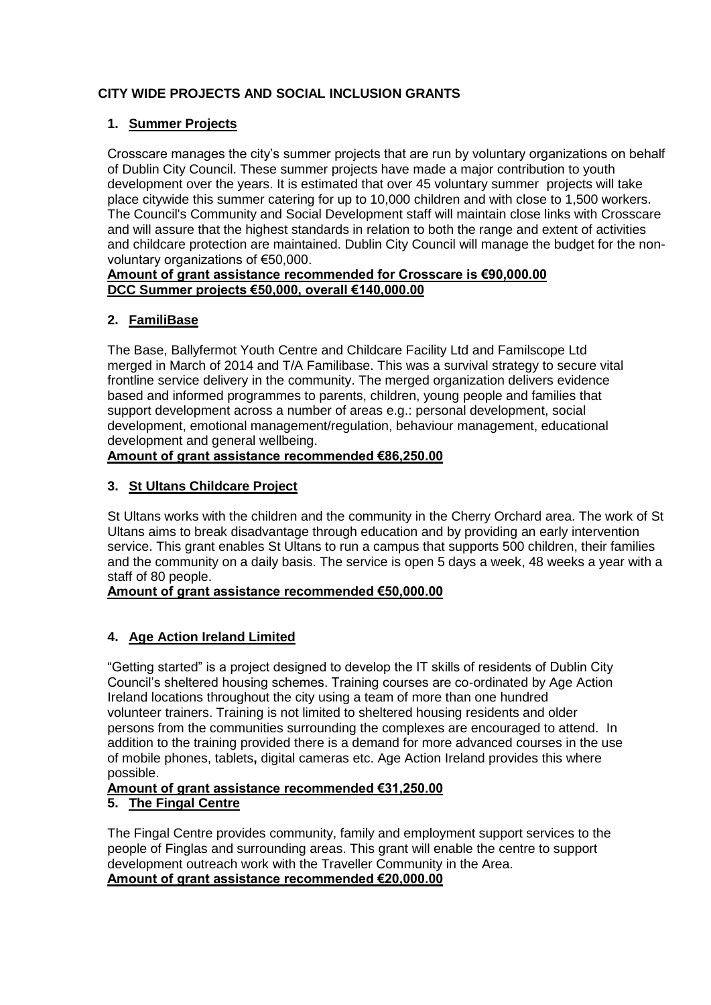# **CITY WIDE PROJECTS AND SOCIAL INCLUSION GRANTS**

# **1. Summer Projects**

Crosscare manages the city's summer projects that are run by voluntary organizations on behalf of Dublin City Council. These summer projects have made a major contribution to youth development over the years. It is estimated that over 45 voluntary summer projects will take place citywide this summer catering for up to 10,000 children and with close to 1,500 workers. The Council's Community and Social Development staff will maintain close links with Crosscare and will assure that the highest standards in relation to both the range and extent of activities and childcare protection are maintained. Dublin City Council will manage the budget for the nonvoluntary organizations of €50,000.

#### **Amount of grant assistance recommended for Crosscare is €90,000.00 DCC Summer projects €50,000, overall €140,000.00**

### **2. FamiliBase**

The Base, Ballyfermot Youth Centre and Childcare Facility Ltd and Familscope Ltd merged in March of 2014 and T/A Familibase. This was a survival strategy to secure vital frontline service delivery in the community. The merged organization delivers evidence based and informed programmes to parents, children, young people and families that support development across a number of areas e.g.: personal development, social development, emotional management/regulation, behaviour management, educational development and general wellbeing.

#### **Amount of grant assistance recommended €86,250.00**

# **3. St Ultans Childcare Project**

St Ultans works with the children and the community in the Cherry Orchard area. The work of St Ultans aims to break disadvantage through education and by providing an early intervention service. This grant enables St Ultans to run a campus that supports 500 children, their families and the community on a daily basis. The service is open 5 days a week, 48 weeks a year with a staff of 80 people.

#### **Amount of grant assistance recommended €50,000.00**

# **4. Age Action Ireland Limited**

"Getting started" is a project designed to develop the IT skills of residents of Dublin City Council's sheltered housing schemes. Training courses are co-ordinated by Age Action Ireland locations throughout the city using a team of more than one hundred volunteer trainers. Training is not limited to sheltered housing residents and older persons from the communities surrounding the complexes are encouraged to attend. In addition to the training provided there is a demand for more advanced courses in the use of mobile phones, tablets**,** digital cameras etc. Age Action Ireland provides this where possible.

# **Amount of grant assistance recommended €31,250.00**

#### **5. The Fingal Centre**

The Fingal Centre provides community, family and employment support services to the people of Finglas and surrounding areas. This grant will enable the centre to support development outreach work with the Traveller Community in the Area. **Amount of grant assistance recommended €20,000.00**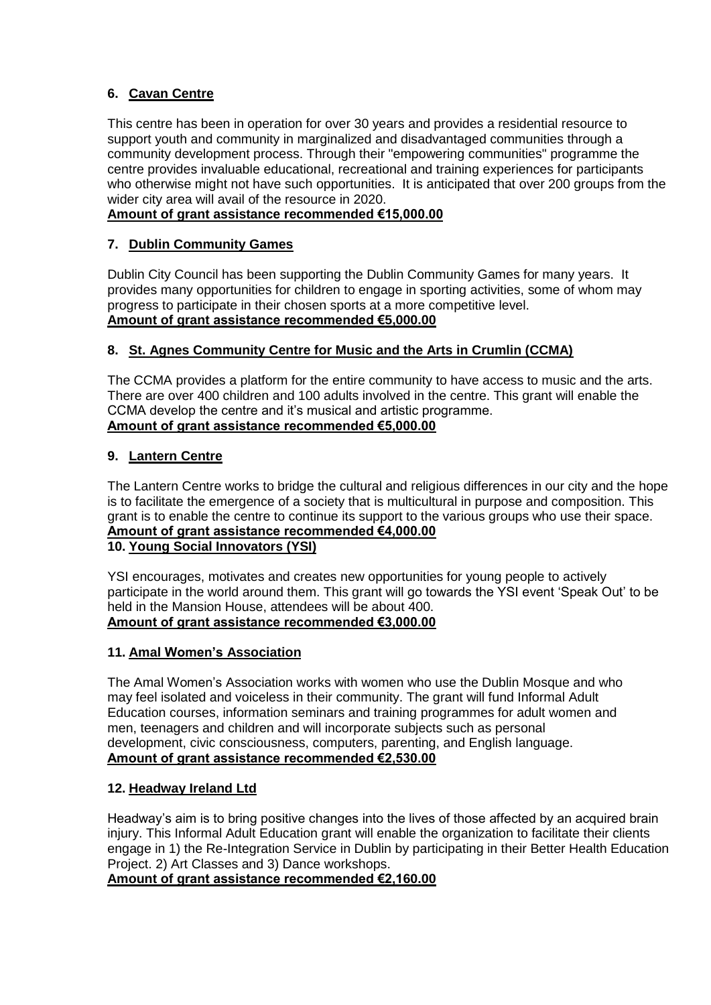# **6. Cavan Centre**

This centre has been in operation for over 30 years and provides a residential resource to support youth and community in marginalized and disadvantaged communities through a community development process. Through their "empowering communities" programme the centre provides invaluable educational, recreational and training experiences for participants who otherwise might not have such opportunities. It is anticipated that over 200 groups from the wider city area will avail of the resource in 2020.

## **Amount of grant assistance recommended €15,000.00**

## **7. Dublin Community Games**

Dublin City Council has been supporting the Dublin Community Games for many years. It provides many opportunities for children to engage in sporting activities, some of whom may progress to participate in their chosen sports at a more competitive level. **Amount of grant assistance recommended €5,000.00**

### **8. St. Agnes Community Centre for Music and the Arts in Crumlin (CCMA)**

The CCMA provides a platform for the entire community to have access to music and the arts. There are over 400 children and 100 adults involved in the centre. This grant will enable the CCMA develop the centre and it's musical and artistic programme. **Amount of grant assistance recommended €5,000.00**

#### **9. Lantern Centre**

The Lantern Centre works to bridge the cultural and religious differences in our city and the hope is to facilitate the emergence of a society that is multicultural in purpose and composition. This grant is to enable the centre to continue its support to the various groups who use their space. **Amount of grant assistance recommended €4,000.00**

#### **10. Young Social Innovators (YSI)**

YSI encourages, motivates and creates new opportunities for young people to actively participate in the world around them. This grant will go towards the YSI event 'Speak Out' to be held in the Mansion House, attendees will be about 400. **Amount of grant assistance recommended €3,000.00**

#### **11. Amal Women's Association**

The Amal Women's Association works with women who use the Dublin Mosque and who may feel isolated and voiceless in their community. The grant will fund Informal Adult Education courses, information seminars and training programmes for adult women and men, teenagers and children and will incorporate subjects such as personal development, civic consciousness, computers, parenting, and English language. **Amount of grant assistance recommended €2,530.00**

#### **12. Headway Ireland Ltd**

Headway's aim is to bring positive changes into the lives of those affected by an acquired brain injury. This Informal Adult Education grant will enable the organization to facilitate their clients engage in 1) the Re-Integration Service in Dublin by participating in their Better Health Education Project. 2) Art Classes and 3) Dance workshops.

#### **Amount of grant assistance recommended €2,160.00**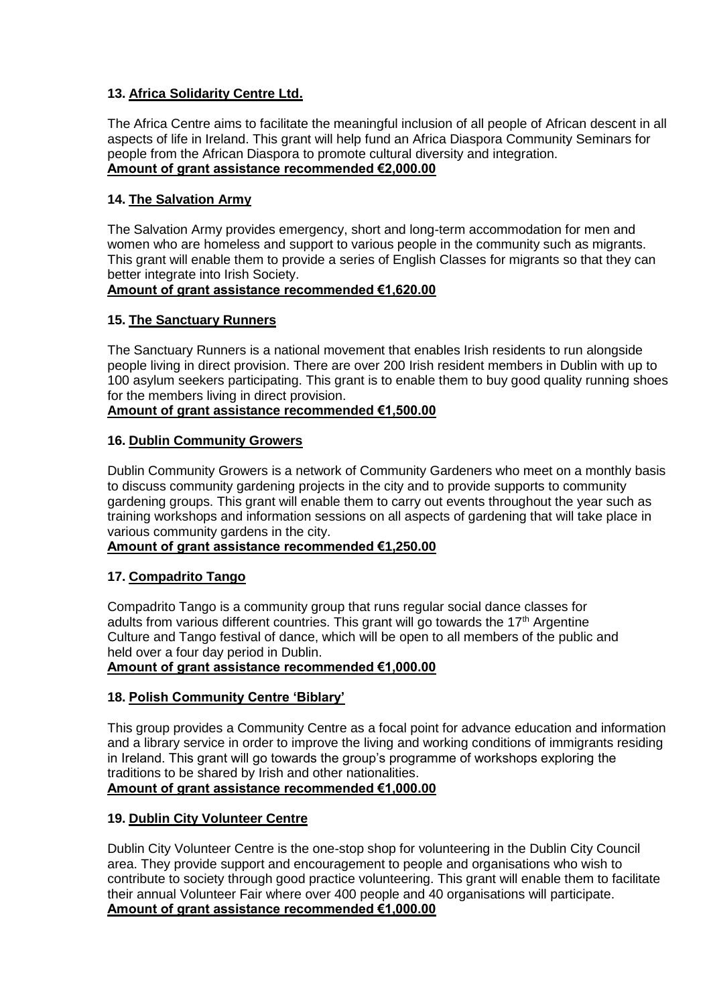# **13. Africa Solidarity Centre Ltd.**

The Africa Centre aims to facilitate the meaningful inclusion of all people of African descent in all aspects of life in Ireland. This grant will help fund an Africa Diaspora Community Seminars for people from the African Diaspora to promote cultural diversity and integration. **Amount of grant assistance recommended €2,000.00**

# **14. The Salvation Army**

The Salvation Army provides emergency, short and long-term accommodation for men and women who are homeless and support to various people in the community such as migrants. This grant will enable them to provide a series of English Classes for migrants so that they can better integrate into Irish Society.

# **Amount of grant assistance recommended €1,620.00**

### **15. The Sanctuary Runners**

The Sanctuary Runners is a national movement that enables Irish residents to run alongside people living in direct provision. There are over 200 Irish resident members in Dublin with up to 100 asylum seekers participating. This grant is to enable them to buy good quality running shoes for the members living in direct provision.

#### **Amount of grant assistance recommended €1,500.00**

### **16. Dublin Community Growers**

Dublin Community Growers is a network of Community Gardeners who meet on a monthly basis to discuss community gardening projects in the city and to provide supports to community gardening groups. This grant will enable them to carry out events throughout the year such as training workshops and information sessions on all aspects of gardening that will take place in various community gardens in the city.

#### **Amount of grant assistance recommended €1,250.00**

# **17. Compadrito Tango**

Compadrito Tango is a community group that runs regular social dance classes for adults from various different countries. This grant will go towards the  $17<sup>th</sup>$  Argentine Culture and Tango festival of dance, which will be open to all members of the public and held over a four day period in Dublin.

#### **Amount of grant assistance recommended €1,000.00**

# **18. Polish Community Centre 'Biblary'**

This group provides a Community Centre as a focal point for advance education and information and a library service in order to improve the living and working conditions of immigrants residing in Ireland. This grant will go towards the group's programme of workshops exploring the traditions to be shared by Irish and other nationalities.

### **Amount of grant assistance recommended €1,000.00**

# **19. Dublin City Volunteer Centre**

Dublin City Volunteer Centre is the one-stop shop for volunteering in the Dublin City Council area. They provide support and encouragement to people and organisations who wish to contribute to society through good practice volunteering. This grant will enable them to facilitate their annual Volunteer Fair where over 400 people and 40 organisations will participate. **Amount of grant assistance recommended €1,000.00**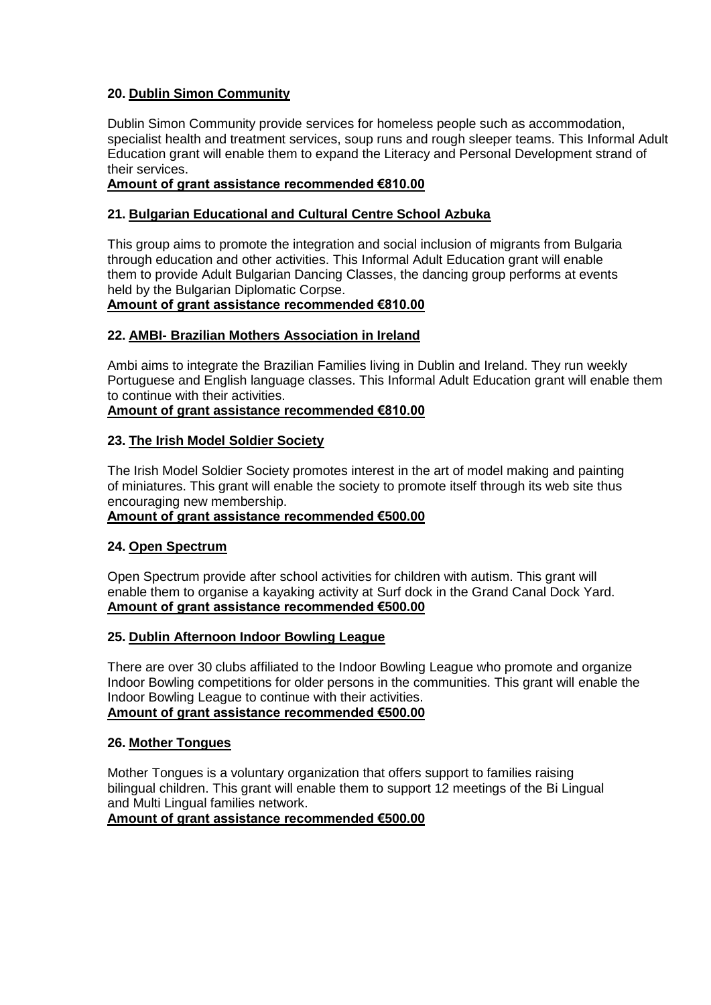# **20. Dublin Simon Community**

Dublin Simon Community provide services for homeless people such as accommodation, specialist health and treatment services, soup runs and rough sleeper teams. This Informal Adult Education grant will enable them to expand the Literacy and Personal Development strand of their services.

#### **Amount of grant assistance recommended €810.00**

# **21. Bulgarian Educational and Cultural Centre School Azbuka**

This group aims to promote the integration and social inclusion of migrants from Bulgaria through education and other activities. This Informal Adult Education grant will enable them to provide Adult Bulgarian Dancing Classes, the dancing group performs at events held by the Bulgarian Diplomatic Corpse.

#### **Amount of grant assistance recommended €810.00**

### **22. AMBI- Brazilian Mothers Association in Ireland**

Ambi aims to integrate the Brazilian Families living in Dublin and Ireland. They run weekly Portuguese and English language classes. This Informal Adult Education grant will enable them to continue with their activities.

#### **Amount of grant assistance recommended €810.00**

#### **23. The Irish Model Soldier Society**

The Irish Model Soldier Society promotes interest in the art of model making and painting of miniatures. This grant will enable the society to promote itself through its web site thus encouraging new membership.

#### **Amount of grant assistance recommended €500.00**

#### **24. Open Spectrum**

Open Spectrum provide after school activities for children with autism. This grant will enable them to organise a kayaking activity at Surf dock in the Grand Canal Dock Yard. **Amount of grant assistance recommended €500.00**

#### **25. Dublin Afternoon Indoor Bowling League**

There are over 30 clubs affiliated to the Indoor Bowling League who promote and organize Indoor Bowling competitions for older persons in the communities. This grant will enable the Indoor Bowling League to continue with their activities. **Amount of grant assistance recommended €500.00**

#### **26. Mother Tongues**

Mother Tongues is a voluntary organization that offers support to families raising bilingual children. This grant will enable them to support 12 meetings of the Bi Lingual and Multi Lingual families network.

**Amount of grant assistance recommended €500.00**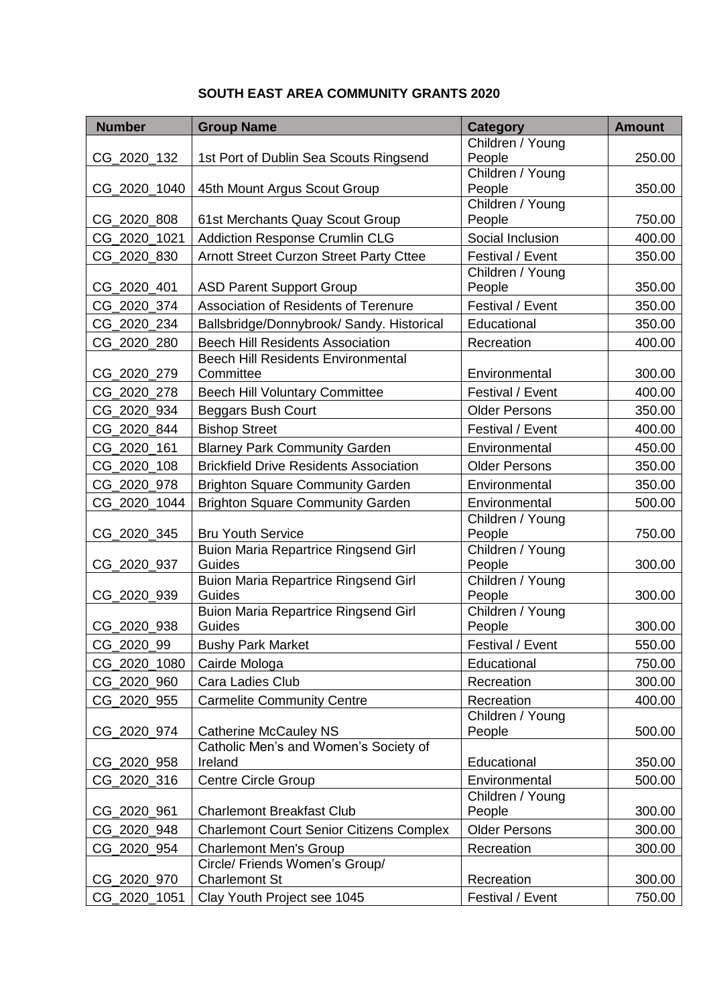# **SOUTH EAST AREA COMMUNITY GRANTS 2020**

| <b>Number</b> | <b>Group Name</b>                                     | <b>Category</b>            | <b>Amount</b> |
|---------------|-------------------------------------------------------|----------------------------|---------------|
|               |                                                       | Children / Young           |               |
| CG_2020_132   | 1st Port of Dublin Sea Scouts Ringsend                | People                     | 250.00        |
|               |                                                       | Children / Young           |               |
| CG_2020_1040  | 45th Mount Argus Scout Group                          | People                     | 350.00        |
| CG_2020_808   | 61st Merchants Quay Scout Group                       | Children / Young<br>People | 750.00        |
|               | <b>Addiction Response Crumlin CLG</b>                 | Social Inclusion           |               |
| CG 2020 1021  |                                                       |                            | 400.00        |
| CG 2020 830   | Arnott Street Curzon Street Party Cttee               | Festival / Event           | 350.00        |
| CG_2020_401   | <b>ASD Parent Support Group</b>                       | Children / Young<br>People | 350.00        |
| CG 2020 374   | Association of Residents of Terenure                  | Festival / Event           | 350.00        |
| CG 2020 234   | Ballsbridge/Donnybrook/ Sandy. Historical             | Educational                | 350.00        |
|               | <b>Beech Hill Residents Association</b>               |                            |               |
| CG_2020_280   | <b>Beech Hill Residents Environmental</b>             | Recreation                 | 400.00        |
| CG 2020 279   | Committee                                             | Environmental              | 300.00        |
| CG_2020_278   | <b>Beech Hill Voluntary Committee</b>                 | Festival / Event           | 400.00        |
| CG_2020_934   | <b>Beggars Bush Court</b>                             | <b>Older Persons</b>       | 350.00        |
| CG_2020_844   | <b>Bishop Street</b>                                  | Festival / Event           | 400.00        |
| CG 2020 161   | <b>Blarney Park Community Garden</b>                  | Environmental              | 450.00        |
| CG_2020_108   | <b>Brickfield Drive Residents Association</b>         | <b>Older Persons</b>       | 350.00        |
| CG_2020_978   | <b>Brighton Square Community Garden</b>               | Environmental              | 350.00        |
| CG 2020 1044  | <b>Brighton Square Community Garden</b>               | Environmental              | 500.00        |
|               |                                                       | Children / Young           |               |
| CG_2020_345   | <b>Bru Youth Service</b>                              | People                     | 750.00        |
|               | <b>Buion Maria Repartrice Ringsend Girl</b>           | Children / Young           |               |
| CG_2020_937   | Guides                                                | People                     | 300.00        |
|               | <b>Buion Maria Repartrice Ringsend Girl</b>           | Children / Young           |               |
| CG_2020_939   | Guides<br><b>Buion Maria Repartrice Ringsend Girl</b> | People<br>Children / Young | 300.00        |
| CG_2020_938   | Guides                                                | People                     | 300.00        |
| CG_2020_99    | <b>Bushy Park Market</b>                              | Festival / Event           | 550.00        |
| CG_2020_1080  | Cairde Mologa                                         | Educational                | 750.00        |
| CG_2020_960   | Cara Ladies Club                                      | Recreation                 | 300.00        |
|               |                                                       | Recreation                 |               |
| CG_2020_955   | <b>Carmelite Community Centre</b>                     | Children / Young           | 400.00        |
| CG_2020_974   | <b>Catherine McCauley NS</b>                          | People                     | 500.00        |
|               | Catholic Men's and Women's Society of                 |                            |               |
| CG_2020_958   | Ireland                                               | Educational                | 350.00        |
| CG_2020_316   | <b>Centre Circle Group</b>                            | Environmental              | 500.00        |
|               |                                                       | Children / Young           |               |
| CG_2020_961   | <b>Charlemont Breakfast Club</b>                      | People                     | 300.00        |
| CG_2020_948   | <b>Charlemont Court Senior Citizens Complex</b>       | <b>Older Persons</b>       | 300.00        |
| CG_2020_954   | <b>Charlemont Men's Group</b>                         | Recreation                 | 300.00        |
|               | Circle/ Friends Women's Group/                        |                            |               |
| CG_2020_970   | <b>Charlemont St</b>                                  | Recreation                 | 300.00        |
| CG_2020_1051  | Clay Youth Project see 1045                           | Festival / Event           | 750.00        |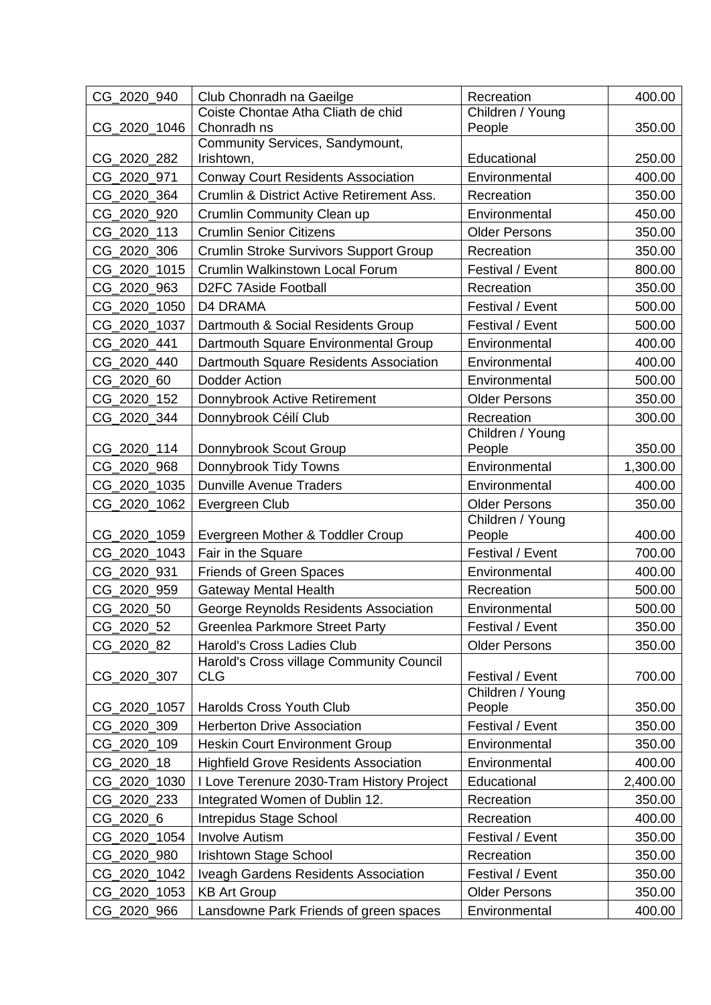| CG 2020 940  | Club Chonradh na Gaeilge                      | Recreation                     | 400.00   |
|--------------|-----------------------------------------------|--------------------------------|----------|
|              | Coiste Chontae Atha Cliath de chid            | Children / Young               |          |
| CG_2020_1046 | Chonradh ns                                   | People                         | 350.00   |
| CG 2020 282  | Community Services, Sandymount,<br>Irishtown, | Educational                    | 250.00   |
| CG_2020_971  | <b>Conway Court Residents Association</b>     | Environmental                  | 400.00   |
| CG_2020_364  | Crumlin & District Active Retirement Ass.     | Recreation                     | 350.00   |
| CG_2020_920  | Crumlin Community Clean up                    | Environmental                  | 450.00   |
| CG_2020_113  | <b>Crumlin Senior Citizens</b>                | <b>Older Persons</b>           | 350.00   |
| CG_2020_306  | <b>Crumlin Stroke Survivors Support Group</b> | Recreation                     | 350.00   |
| CG_2020_1015 | Crumlin Walkinstown Local Forum               | Festival / Event               | 800.00   |
| CG_2020_963  | <b>D2FC 7Aside Football</b>                   | Recreation                     | 350.00   |
| CG_2020_1050 | <b>D4 DRAMA</b>                               | Festival / Event               | 500.00   |
| CG_2020_1037 | Dartmouth & Social Residents Group            | Festival / Event               | 500.00   |
| CG_2020_441  | Dartmouth Square Environmental Group          | Environmental                  | 400.00   |
| CG 2020 440  | Dartmouth Square Residents Association        | Environmental                  | 400.00   |
|              | <b>Dodder Action</b>                          |                                | 500.00   |
| CG_2020_60   |                                               | Environmental                  |          |
| CG_2020_152  | Donnybrook Active Retirement                  | <b>Older Persons</b>           | 350.00   |
| CG_2020_344  | Donnybrook Céilí Club                         | Recreation<br>Children / Young | 300.00   |
| CG_2020_114  | Donnybrook Scout Group                        | People                         | 350.00   |
| CG_2020_968  | Donnybrook Tidy Towns                         | Environmental                  | 1,300.00 |
| CG_2020_1035 | <b>Dunville Avenue Traders</b>                | Environmental                  | 400.00   |
| CG_2020_1062 | Evergreen Club                                | <b>Older Persons</b>           | 350.00   |
| CG_2020_1059 | Evergreen Mother & Toddler Croup              | Children / Young<br>People     | 400.00   |
| CG 2020 1043 | Fair in the Square                            | Festival / Event               | 700.00   |
| CG_2020_931  | <b>Friends of Green Spaces</b>                | Environmental                  | 400.00   |
| CG_2020_959  | <b>Gateway Mental Health</b>                  | Recreation                     | 500.00   |
| CG_2020_50   | George Reynolds Residents Association         | Environmental                  | 500.00   |
| CG_2020_52   | Greenlea Parkmore Street Party                | Festival / Event               | 350.00   |
| CG_2020_82   | Harold's Cross Ladies Club                    | <b>Older Persons</b>           | 350.00   |
|              | Harold's Cross village Community Council      |                                |          |
| CG_2020_307  | <b>CLG</b>                                    | Festival / Event               | 700.00   |
| CG_2020_1057 | Harolds Cross Youth Club                      | Children / Young<br>People     | 350.00   |
| CG_2020_309  | <b>Herberton Drive Association</b>            | Festival / Event               | 350.00   |
| CG_2020_109  | <b>Heskin Court Environment Group</b>         | Environmental                  | 350.00   |
| CG_2020_18   | <b>Highfield Grove Residents Association</b>  | Environmental                  | 400.00   |
| CG_2020_1030 | I Love Terenure 2030-Tram History Project     | Educational                    | 2,400.00 |
| CG_2020_233  | Integrated Women of Dublin 12.                | Recreation                     | 350.00   |
| CG_2020_6    | Intrepidus Stage School                       | Recreation                     | 400.00   |
| CG_2020_1054 | <b>Involve Autism</b>                         | Festival / Event               | 350.00   |
| CG_2020_980  | Irishtown Stage School                        | Recreation                     | 350.00   |
| CG_2020_1042 | Iveagh Gardens Residents Association          | Festival / Event               | 350.00   |
| CG_2020_1053 | <b>KB Art Group</b>                           | <b>Older Persons</b>           | 350.00   |
| CG_2020_966  | Lansdowne Park Friends of green spaces        | Environmental                  | 400.00   |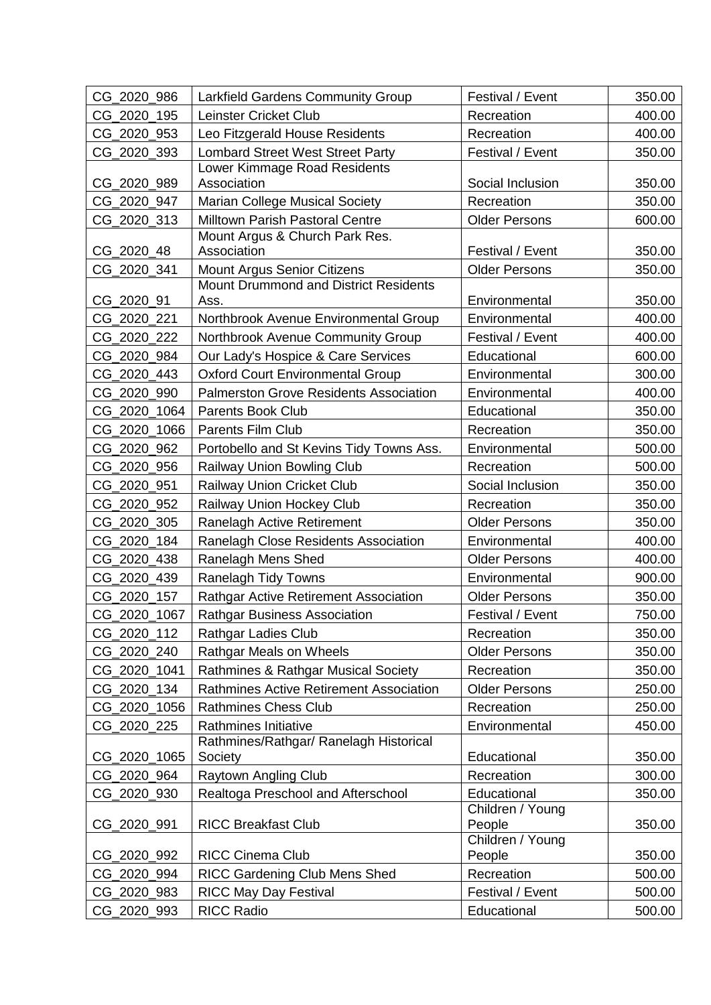| Leinster Cricket Club<br>CG_2020_195<br>Recreation                                         | 400.00 |
|--------------------------------------------------------------------------------------------|--------|
| CG 2020 953<br>Leo Fitzgerald House Residents<br>Recreation                                | 400.00 |
| CG_2020_393<br><b>Lombard Street West Street Party</b><br>Festival / Event                 | 350.00 |
| Lower Kimmage Road Residents                                                               |        |
| CG 2020 989<br>Association<br>Social Inclusion                                             | 350.00 |
| CG_2020_947<br><b>Marian College Musical Society</b><br>Recreation                         | 350.00 |
| CG_2020_313<br>Milltown Parish Pastoral Centre<br><b>Older Persons</b>                     | 600.00 |
| Mount Argus & Church Park Res.<br>CG_2020_48<br>Association<br>Festival / Event            |        |
| <b>Older Persons</b>                                                                       | 350.00 |
| CG_2020_341<br><b>Mount Argus Senior Citizens</b><br>Mount Drummond and District Residents | 350.00 |
| CG_2020_91<br>Ass.<br>Environmental                                                        | 350.00 |
| CG 2020 221<br>Northbrook Avenue Environmental Group<br>Environmental                      | 400.00 |
| CG_2020_222<br>Northbrook Avenue Community Group<br>Festival / Event                       | 400.00 |
| CG_2020_984<br>Our Lady's Hospice & Care Services<br>Educational                           | 600.00 |
| CG_2020_443<br><b>Oxford Court Environmental Group</b><br>Environmental                    | 300.00 |
| CG_2020_990<br>Palmerston Grove Residents Association<br>Environmental                     | 400.00 |
| CG_2020_1064<br><b>Parents Book Club</b><br>Educational                                    | 350.00 |
| CG 2020 1066<br>Recreation<br><b>Parents Film Club</b>                                     | 350.00 |
| CG_2020_962<br>Environmental<br>Portobello and St Kevins Tidy Towns Ass.                   | 500.00 |
| <b>Railway Union Bowling Club</b><br>CG_2020_956<br>Recreation                             | 500.00 |
| CG_2020_951<br><b>Railway Union Cricket Club</b><br>Social Inclusion                       | 350.00 |
| CG_2020_952<br>Railway Union Hockey Club<br>Recreation                                     | 350.00 |
| CG_2020_305<br>Ranelagh Active Retirement<br><b>Older Persons</b>                          | 350.00 |
| CG_2020_184<br>Ranelagh Close Residents Association<br>Environmental                       | 400.00 |
| CG_2020_438<br>Ranelagh Mens Shed<br><b>Older Persons</b>                                  | 400.00 |
| CG_2020_439<br><b>Ranelagh Tidy Towns</b><br>Environmental                                 | 900.00 |
| CG_2020_157<br>Rathgar Active Retirement Association<br><b>Older Persons</b>               | 350.00 |
| CG_2020_1067<br><b>Rathgar Business Association</b><br>Festival / Event                    | 750.00 |
| CG_2020_112<br><b>Rathgar Ladies Club</b><br>Recreation                                    | 350.00 |
| CG_2020_240<br>Rathgar Meals on Wheels<br><b>Older Persons</b>                             | 350.00 |
| CG 2020 1041<br>Rathmines & Rathgar Musical Society<br>Recreation                          | 350.00 |
| CG_2020_134<br><b>Rathmines Active Retirement Association</b><br><b>Older Persons</b>      | 250.00 |
| <b>Rathmines Chess Club</b><br>CG_2020_1056<br>Recreation                                  | 250.00 |
| CG_2020_225<br>Rathmines Initiative<br>Environmental                                       | 450.00 |
| Rathmines/Rathgar/ Ranelagh Historical                                                     |        |
| Educational<br>CG 2020 1065<br>Society                                                     | 350.00 |
| Raytown Angling Club<br>CG_2020_964<br>Recreation                                          | 300.00 |
| Realtoga Preschool and Afterschool<br>Educational<br>CG_2020_930                           | 350.00 |
| Children / Young                                                                           |        |
| <b>RICC Breakfast Club</b><br>CG_2020_991<br>People<br>Children / Young                    | 350.00 |
| RICC Cinema Club<br>CG_2020_992<br>People                                                  | 350.00 |
| CG_2020_994<br><b>RICC Gardening Club Mens Shed</b><br>Recreation                          | 500.00 |
| CG_2020_983<br><b>RICC May Day Festival</b><br>Festival / Event                            | 500.00 |
| CG_2020_993<br><b>RICC Radio</b><br>Educational                                            | 500.00 |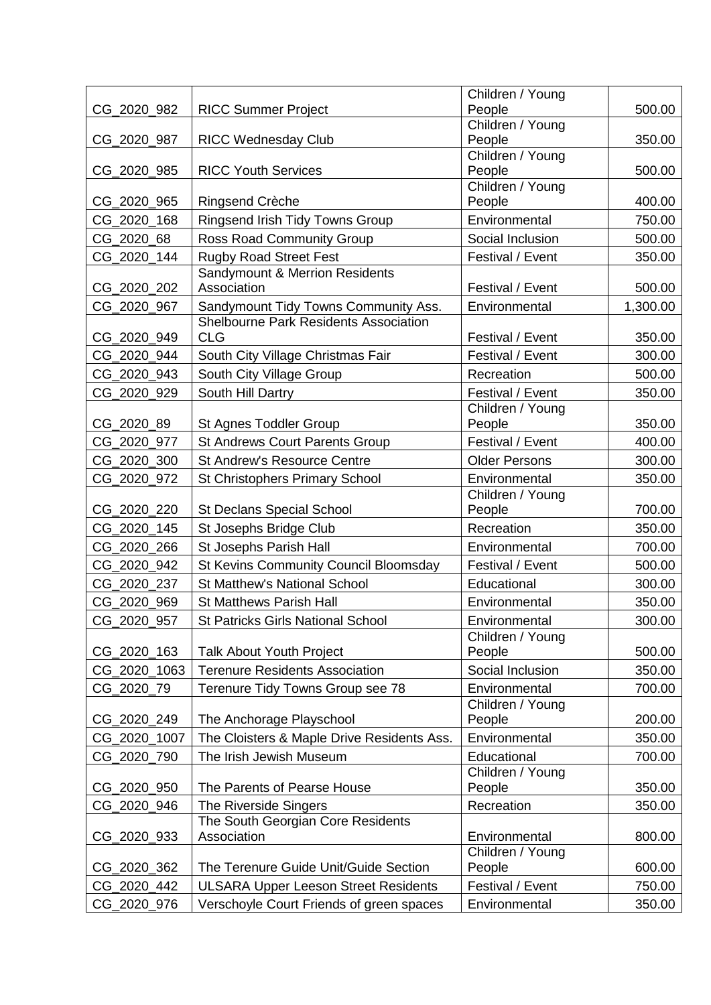|              |                                                                 | Children / Young           |          |
|--------------|-----------------------------------------------------------------|----------------------------|----------|
| CG_2020_982  | <b>RICC Summer Project</b>                                      | People                     | 500.00   |
|              |                                                                 | Children / Young           |          |
| CG_2020_987  | RICC Wednesday Club                                             | People                     | 350.00   |
|              |                                                                 | Children / Young           |          |
| CG_2020_985  | <b>RICC Youth Services</b>                                      | People                     | 500.00   |
| CG_2020_965  | Ringsend Crèche                                                 | Children / Young<br>People | 400.00   |
| CG_2020_168  | Ringsend Irish Tidy Towns Group                                 | Environmental              | 750.00   |
| CG 2020 68   |                                                                 |                            |          |
|              | Ross Road Community Group                                       | Social Inclusion           | 500.00   |
| CG 2020 144  | <b>Rugby Road Street Fest</b><br>Sandymount & Merrion Residents | Festival / Event           | 350.00   |
| CG_2020_202  | Association                                                     | Festival / Event           | 500.00   |
| CG_2020_967  | Sandymount Tidy Towns Community Ass.                            | Environmental              | 1,300.00 |
|              | Shelbourne Park Residents Association                           |                            |          |
| CG_2020_949  | <b>CLG</b>                                                      | Festival / Event           | 350.00   |
| CG_2020_944  | South City Village Christmas Fair                               | Festival / Event           | 300.00   |
| CG 2020 943  | South City Village Group                                        | Recreation                 | 500.00   |
| CG_2020_929  | South Hill Dartry                                               | Festival / Event           | 350.00   |
|              |                                                                 | Children / Young           |          |
| CG_2020_89   | St Agnes Toddler Group                                          | People                     | 350.00   |
| CG_2020_977  | St Andrews Court Parents Group                                  | Festival / Event           | 400.00   |
| CG 2020 300  | <b>St Andrew's Resource Centre</b>                              | <b>Older Persons</b>       | 300.00   |
| CG_2020_972  | <b>St Christophers Primary School</b>                           | Environmental              | 350.00   |
|              |                                                                 | Children / Young           |          |
| CG_2020_220  | <b>St Declans Special School</b>                                | People                     | 700.00   |
| CG_2020_145  | St Josephs Bridge Club                                          | Recreation                 | 350.00   |
| CG_2020_266  | St Josephs Parish Hall                                          | Environmental              | 700.00   |
| CG_2020_942  | St Kevins Community Council Bloomsday                           | Festival / Event           | 500.00   |
| CG_2020_237  | <b>St Matthew's National School</b>                             | Educational                | 300.00   |
| CG_2020_969  | <b>St Matthews Parish Hall</b>                                  | Environmental              | 350.00   |
| CG_2020_957  | St Patricks Girls National School                               | Environmental              | 300.00   |
|              |                                                                 | Children / Young           |          |
| CG_2020_163  | <b>Talk About Youth Project</b>                                 | People                     | 500.00   |
| CG_2020_1063 | <b>Terenure Residents Association</b>                           | Social Inclusion           | 350.00   |
| CG_2020_79   | Terenure Tidy Towns Group see 78                                | Environmental              | 700.00   |
|              |                                                                 | Children / Young           |          |
| CG_2020_249  | The Anchorage Playschool                                        | People                     | 200.00   |
| CG 2020 1007 | The Cloisters & Maple Drive Residents Ass.                      | Environmental              | 350.00   |
| CG_2020_790  | The Irish Jewish Museum                                         | Educational                | 700.00   |
|              |                                                                 | Children / Young           |          |
| CG_2020_950  | The Parents of Pearse House                                     | People                     | 350.00   |
| CG_2020_946  | The Riverside Singers                                           | Recreation                 | 350.00   |
|              | The South Georgian Core Residents                               |                            |          |
| CG_2020_933  | Association                                                     | Environmental              | 800.00   |
|              |                                                                 | Children / Young           |          |
| CG_2020_362  | The Terenure Guide Unit/Guide Section                           | People                     | 600.00   |
| CG_2020_442  | <b>ULSARA Upper Leeson Street Residents</b>                     | Festival / Event           | 750.00   |
| CG_2020_976  | Verschoyle Court Friends of green spaces                        | Environmental              | 350.00   |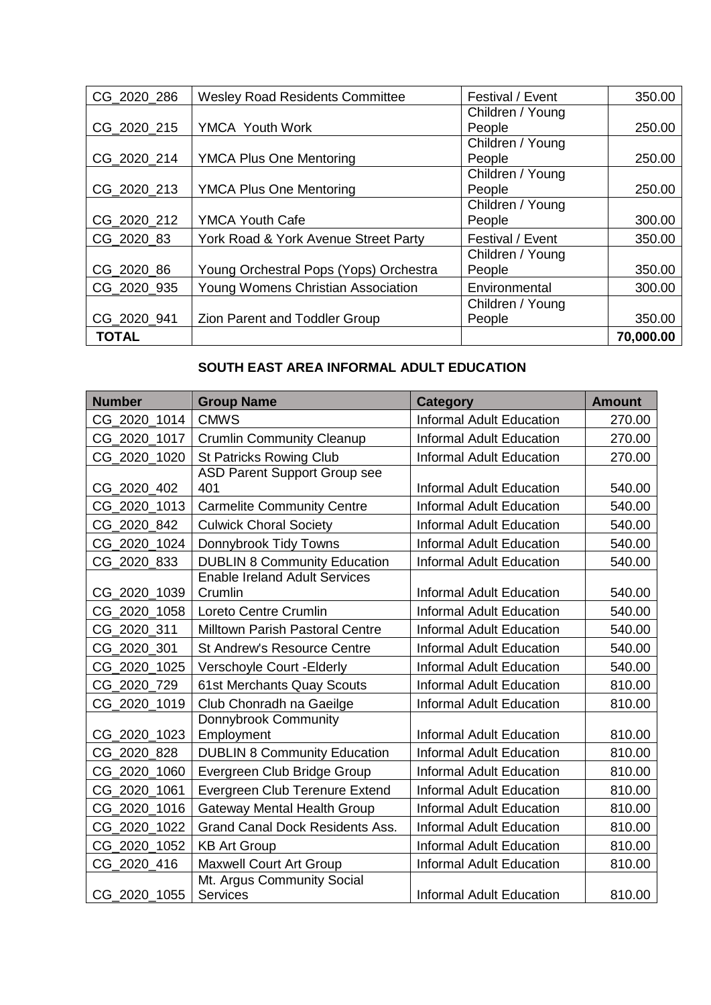| CG_2020_286  | <b>Wesley Road Residents Committee</b> | Festival / Event | 350.00    |
|--------------|----------------------------------------|------------------|-----------|
|              |                                        | Children / Young |           |
| CG_2020_215  | YMCA Youth Work                        | People           | 250.00    |
|              |                                        | Children / Young |           |
| CG 2020 214  | <b>YMCA Plus One Mentoring</b>         | People           | 250.00    |
|              |                                        | Children / Young |           |
| CG 2020 213  | <b>YMCA Plus One Mentoring</b>         | People           | 250.00    |
|              |                                        | Children / Young |           |
| CG_2020_212  | <b>YMCA Youth Cafe</b>                 | People           | 300.00    |
| CG_2020_83   | York Road & York Avenue Street Party   | Festival / Event | 350.00    |
|              |                                        | Children / Young |           |
| CG_2020_86   | Young Orchestral Pops (Yops) Orchestra | People           | 350.00    |
| CG 2020 935  | Young Womens Christian Association     | Environmental    | 300.00    |
|              |                                        | Children / Young |           |
| CG 2020 941  | Zion Parent and Toddler Group          | People           | 350.00    |
| <b>TOTAL</b> |                                        |                  | 70,000.00 |

# **SOUTH EAST AREA INFORMAL ADULT EDUCATION**

| <b>Number</b> | <b>Group Name</b>                               | <b>Category</b>                 | <b>Amount</b> |
|---------------|-------------------------------------------------|---------------------------------|---------------|
| CG_2020_1014  | <b>CMWS</b>                                     | <b>Informal Adult Education</b> | 270.00        |
| CG_2020_1017  | <b>Crumlin Community Cleanup</b>                | <b>Informal Adult Education</b> | 270.00        |
| CG_2020_1020  | <b>St Patricks Rowing Club</b>                  | <b>Informal Adult Education</b> | 270.00        |
| CG 2020 402   | <b>ASD Parent Support Group see</b><br>401      | <b>Informal Adult Education</b> | 540.00        |
| CG_2020_1013  | <b>Carmelite Community Centre</b>               | <b>Informal Adult Education</b> | 540.00        |
| CG 2020 842   | <b>Culwick Choral Society</b>                   | <b>Informal Adult Education</b> | 540.00        |
| CG_2020_1024  | Donnybrook Tidy Towns                           | <b>Informal Adult Education</b> | 540.00        |
| CG_2020_833   | <b>DUBLIN 8 Community Education</b>             | <b>Informal Adult Education</b> | 540.00        |
| CG 2020 1039  | <b>Enable Ireland Adult Services</b><br>Crumlin | <b>Informal Adult Education</b> | 540.00        |
| CG 2020 1058  | Loreto Centre Crumlin                           | <b>Informal Adult Education</b> | 540.00        |
| CG_2020_311   | Milltown Parish Pastoral Centre                 | <b>Informal Adult Education</b> | 540.00        |
| CG 2020 301   | <b>St Andrew's Resource Centre</b>              | <b>Informal Adult Education</b> | 540.00        |
| CG 2020 1025  | Verschoyle Court - Elderly                      | <b>Informal Adult Education</b> | 540.00        |
| CG_2020_729   | 61st Merchants Quay Scouts                      | <b>Informal Adult Education</b> | 810.00        |
| CG_2020_1019  | Club Chonradh na Gaeilge                        | <b>Informal Adult Education</b> | 810.00        |
| CG 2020 1023  | Donnybrook Community<br>Employment              | <b>Informal Adult Education</b> | 810.00        |
| CG_2020_828   | <b>DUBLIN 8 Community Education</b>             | <b>Informal Adult Education</b> | 810.00        |
| CG_2020_1060  | Evergreen Club Bridge Group                     | <b>Informal Adult Education</b> | 810.00        |
| CG 2020 1061  | Evergreen Club Terenure Extend                  | <b>Informal Adult Education</b> | 810.00        |
| CG 2020 1016  | <b>Gateway Mental Health Group</b>              | <b>Informal Adult Education</b> | 810.00        |
| CG_2020_1022  | <b>Grand Canal Dock Residents Ass.</b>          | <b>Informal Adult Education</b> | 810.00        |
| CG_2020_1052  | <b>KB Art Group</b>                             | <b>Informal Adult Education</b> | 810.00        |
| CG_2020_416   | <b>Maxwell Court Art Group</b>                  | <b>Informal Adult Education</b> | 810.00        |
| CG 2020 1055  | Mt. Argus Community Social<br><b>Services</b>   | <b>Informal Adult Education</b> | 810.00        |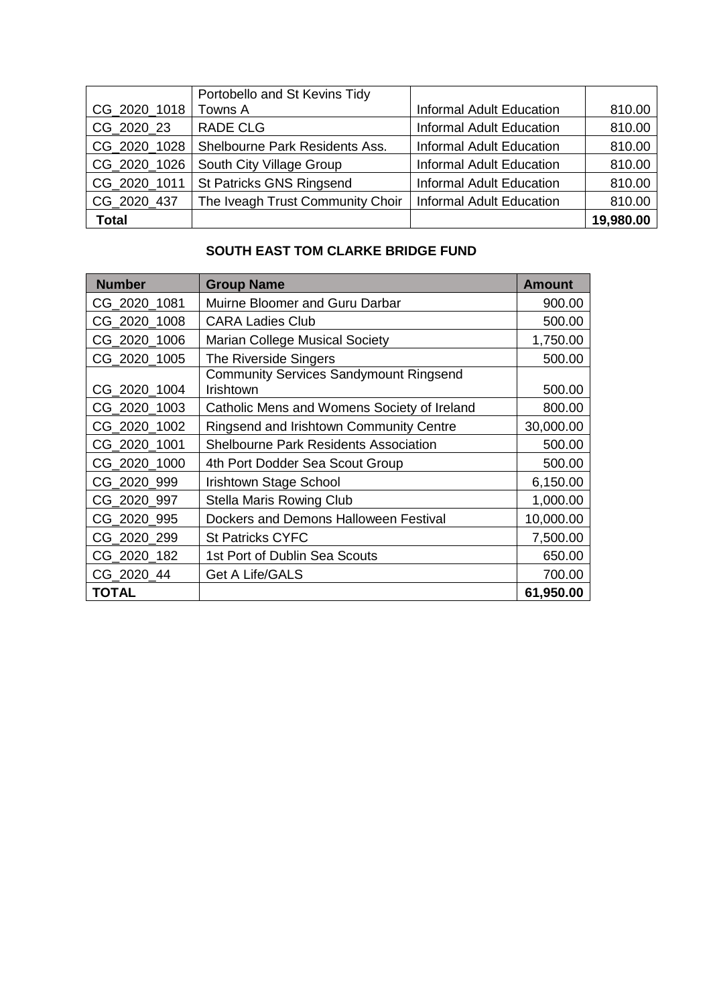|              | Portobello and St Kevins Tidy    |                                 |           |
|--------------|----------------------------------|---------------------------------|-----------|
| CG_2020_1018 | Towns A                          | <b>Informal Adult Education</b> | 810.00    |
| CG 2020 23   | <b>RADE CLG</b>                  | <b>Informal Adult Education</b> | 810.00    |
| CG_2020_1028 | Shelbourne Park Residents Ass.   | <b>Informal Adult Education</b> | 810.00    |
| CG_2020_1026 | South City Village Group         | <b>Informal Adult Education</b> | 810.00    |
| CG_2020_1011 | St Patricks GNS Ringsend         | <b>Informal Adult Education</b> | 810.00    |
| CG 2020 437  | The Iveagh Trust Community Choir | <b>Informal Adult Education</b> | 810.00    |
| <b>Total</b> |                                  |                                 | 19,980.00 |

# **SOUTH EAST TOM CLARKE BRIDGE FUND**

| <b>Number</b> | <b>Group Name</b>                             | <b>Amount</b> |
|---------------|-----------------------------------------------|---------------|
| CG_2020_1081  | Muirne Bloomer and Guru Darbar                | 900.00        |
| CG_2020_1008  | <b>CARA Ladies Club</b>                       | 500.00        |
| CG_2020_1006  | <b>Marian College Musical Society</b>         | 1,750.00      |
| CG_2020_1005  | The Riverside Singers                         | 500.00        |
|               | <b>Community Services Sandymount Ringsend</b> |               |
| CG_2020_1004  | <b>Irishtown</b>                              | 500.00        |
| CG_2020_1003  | Catholic Mens and Womens Society of Ireland   | 800.00        |
| CG_2020_1002  | Ringsend and Irishtown Community Centre       | 30,000.00     |
| CG_2020_1001  | <b>Shelbourne Park Residents Association</b>  | 500.00        |
| CG_2020_1000  | 4th Port Dodder Sea Scout Group               | 500.00        |
| CG_2020_999   | Irishtown Stage School                        | 6,150.00      |
| CG_2020_997   | <b>Stella Maris Rowing Club</b>               | 1,000.00      |
| CG_2020_995   | Dockers and Demons Halloween Festival         | 10,000.00     |
| CG_2020_299   | <b>St Patricks CYFC</b>                       | 7,500.00      |
| CG_2020_182   | 1st Port of Dublin Sea Scouts                 | 650.00        |
| CG_2020_44    | Get A Life/GALS                               | 700.00        |
| TOTAL         |                                               | 61,950.00     |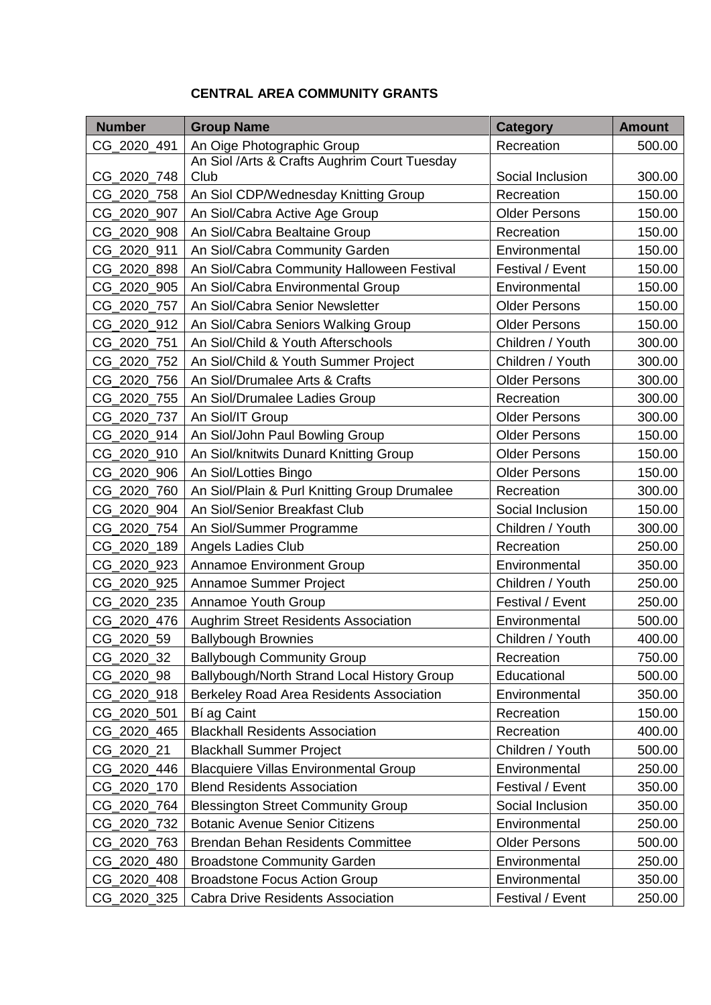| <b>Number</b> | <b>Group Name</b>                                     | <b>Category</b>      | <b>Amount</b> |
|---------------|-------------------------------------------------------|----------------------|---------------|
| CG_2020_491   | An Oige Photographic Group                            | Recreation           | 500.00        |
| CG_2020_748   | An Siol / Arts & Crafts Aughrim Court Tuesday<br>Club | Social Inclusion     | 300.00        |
| CG 2020 758   | An Siol CDP/Wednesday Knitting Group                  | Recreation           | 150.00        |
| CG_2020_907   | An Siol/Cabra Active Age Group                        | <b>Older Persons</b> | 150.00        |
| CG 2020 908   | An Siol/Cabra Bealtaine Group                         | Recreation           | 150.00        |
| CG 2020 911   | An Siol/Cabra Community Garden                        | Environmental        | 150.00        |
| CG 2020 898   | An Siol/Cabra Community Halloween Festival            | Festival / Event     | 150.00        |
| CG 2020 905   | An Siol/Cabra Environmental Group                     | Environmental        | 150.00        |
| CG_2020_757   | An Siol/Cabra Senior Newsletter                       | <b>Older Persons</b> | 150.00        |
| CG_2020_912   | An Siol/Cabra Seniors Walking Group                   | <b>Older Persons</b> | 150.00        |
| CG 2020 751   | An Siol/Child & Youth Afterschools                    | Children / Youth     | 300.00        |
| CG 2020 752   | An Siol/Child & Youth Summer Project                  | Children / Youth     | 300.00        |
| CG_2020_756   | An Siol/Drumalee Arts & Crafts                        | <b>Older Persons</b> | 300.00        |
| CG_2020_755   | An Siol/Drumalee Ladies Group                         | Recreation           | 300.00        |
| CG 2020 737   | An Siol/IT Group                                      | <b>Older Persons</b> | 300.00        |
| CG 2020 914   | An Siol/John Paul Bowling Group                       | <b>Older Persons</b> | 150.00        |
| CG 2020 910   | An Siol/knitwits Dunard Knitting Group                | <b>Older Persons</b> | 150.00        |
| CG_2020_906   | An Siol/Lotties Bingo                                 | <b>Older Persons</b> | 150.00        |
| CG_2020_760   | An Siol/Plain & Purl Knitting Group Drumalee          | Recreation           | 300.00        |
| CG 2020 904   | An Siol/Senior Breakfast Club                         | Social Inclusion     | 150.00        |
| CG_2020_754   | An Siol/Summer Programme                              | Children / Youth     | 300.00        |
| CG_2020_189   | Angels Ladies Club                                    | Recreation           | 250.00        |
| CG_2020_923   | <b>Annamoe Environment Group</b>                      | Environmental        | 350.00        |
| CG_2020_925   | Annamoe Summer Project                                | Children / Youth     | 250.00        |
| CG_2020_235   | Annamoe Youth Group                                   | Festival / Event     | 250.00        |
| CG_2020_476   | <b>Aughrim Street Residents Association</b>           | Environmental        | 500.00        |
| CG_2020_59    | <b>Ballybough Brownies</b>                            | Children / Youth     | 400.00        |
| CG_2020_32    | <b>Ballybough Community Group</b>                     | Recreation           | 750.00        |
| CG_2020_98    | Ballybough/North Strand Local History Group           | Educational          | 500.00        |
| CG_2020_918   | Berkeley Road Area Residents Association              | Environmental        | 350.00        |
| CG_2020_501   | Bí ag Caint                                           | Recreation           | 150.00        |
| CG_2020_465   | <b>Blackhall Residents Association</b>                | Recreation           | 400.00        |
| CG_2020_21    | <b>Blackhall Summer Project</b>                       | Children / Youth     | 500.00        |
| CG_2020_446   | <b>Blacquiere Villas Environmental Group</b>          | Environmental        | 250.00        |
| CG_2020_170   | <b>Blend Residents Association</b>                    | Festival / Event     | 350.00        |
| CG_2020_764   | <b>Blessington Street Community Group</b>             | Social Inclusion     | 350.00        |
| CG_2020_732   | <b>Botanic Avenue Senior Citizens</b>                 | Environmental        | 250.00        |
| CG_2020_763   | <b>Brendan Behan Residents Committee</b>              | <b>Older Persons</b> | 500.00        |
| CG_2020_480   | <b>Broadstone Community Garden</b>                    | Environmental        | 250.00        |
| CG_2020_408   | <b>Broadstone Focus Action Group</b>                  | Environmental        | 350.00        |
| CG_2020_325   | <b>Cabra Drive Residents Association</b>              | Festival / Event     | 250.00        |

# **CENTRAL AREA COMMUNITY GRANTS**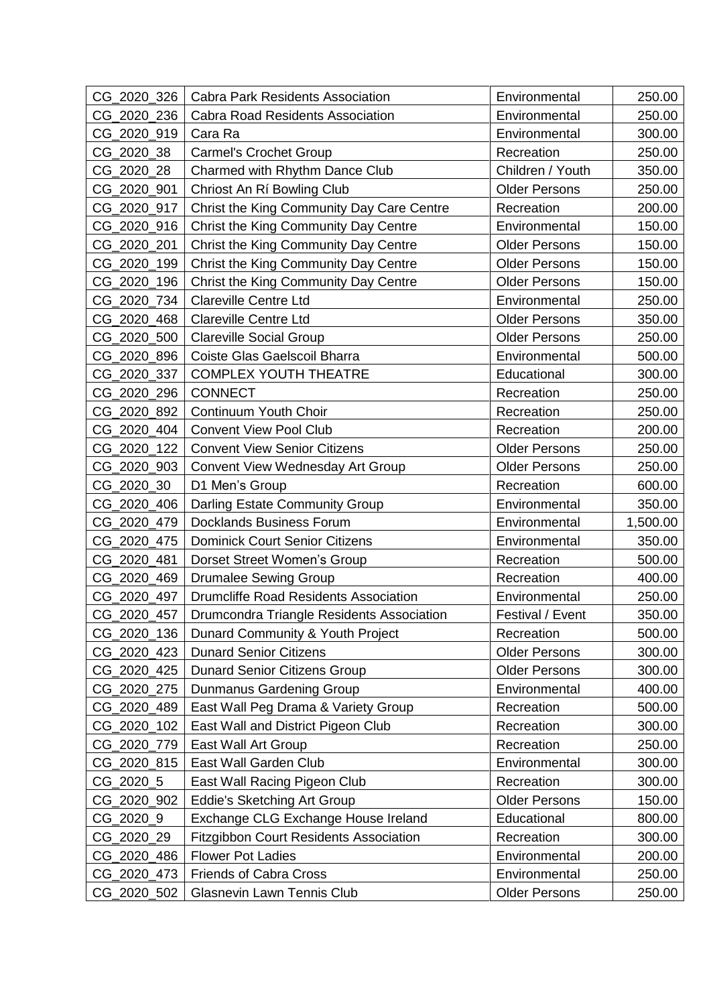|             | CG_2020_326   Cabra Park Residents Association | Environmental        | 250.00   |
|-------------|------------------------------------------------|----------------------|----------|
| CG_2020_236 | <b>Cabra Road Residents Association</b>        | Environmental        | 250.00   |
| CG_2020_919 | Cara Ra                                        | Environmental        | 300.00   |
| CG 2020 38  | <b>Carmel's Crochet Group</b>                  | Recreation           | 250.00   |
| CG_2020_28  | Charmed with Rhythm Dance Club                 | Children / Youth     | 350.00   |
| CG 2020 901 | Chriost An Rí Bowling Club                     | <b>Older Persons</b> | 250.00   |
| CG 2020 917 | Christ the King Community Day Care Centre      | Recreation           | 200.00   |
| CG_2020_916 | Christ the King Community Day Centre           | Environmental        | 150.00   |
| CG_2020_201 | Christ the King Community Day Centre           | <b>Older Persons</b> | 150.00   |
| CG 2020 199 | Christ the King Community Day Centre           | <b>Older Persons</b> | 150.00   |
| CG_2020_196 | Christ the King Community Day Centre           | <b>Older Persons</b> | 150.00   |
| CG_2020_734 | <b>Clareville Centre Ltd</b>                   | Environmental        | 250.00   |
| CG_2020_468 | <b>Clareville Centre Ltd</b>                   | <b>Older Persons</b> | 350.00   |
| CG_2020_500 | <b>Clareville Social Group</b>                 | <b>Older Persons</b> | 250.00   |
| CG_2020_896 | Coiste Glas Gaelscoil Bharra                   | Environmental        | 500.00   |
| CG_2020_337 | <b>COMPLEX YOUTH THEATRE</b>                   | Educational          | 300.00   |
| CG_2020_296 | <b>CONNECT</b>                                 | Recreation           | 250.00   |
| CG 2020 892 | Continuum Youth Choir                          | Recreation           | 250.00   |
| CG_2020_404 | <b>Convent View Pool Club</b>                  | Recreation           | 200.00   |
| CG 2020 122 | <b>Convent View Senior Citizens</b>            | <b>Older Persons</b> | 250.00   |
| CG_2020_903 | Convent View Wednesday Art Group               | <b>Older Persons</b> | 250.00   |
| CG_2020_30  | D1 Men's Group                                 | Recreation           | 600.00   |
| CG 2020 406 | Darling Estate Community Group                 | Environmental        | 350.00   |
| CG_2020_479 | <b>Docklands Business Forum</b>                | Environmental        | 1,500.00 |
| CG_2020_475 | <b>Dominick Court Senior Citizens</b>          | Environmental        | 350.00   |
| CG 2020 481 | Dorset Street Women's Group                    | Recreation           | 500.00   |
| CG_2020_469 | <b>Drumalee Sewing Group</b>                   | Recreation           | 400.00   |
| CG 2020 497 | <b>Drumcliffe Road Residents Association</b>   | Environmental        | 250.00   |
| CG 2020 457 | Drumcondra Triangle Residents Association      | Festival / Event     | 350.00   |
| CG_2020_136 | Dunard Community & Youth Project               | Recreation           | 500.00   |
| CG_2020_423 | <b>Dunard Senior Citizens</b>                  | <b>Older Persons</b> | 300.00   |
| CG_2020_425 | <b>Dunard Senior Citizens Group</b>            | <b>Older Persons</b> | 300.00   |
| CG_2020_275 | Dunmanus Gardening Group                       | Environmental        | 400.00   |
| CG_2020_489 | East Wall Peg Drama & Variety Group            | Recreation           | 500.00   |
| CG_2020_102 | East Wall and District Pigeon Club             | Recreation           | 300.00   |
| CG_2020_779 | East Wall Art Group                            | Recreation           | 250.00   |
| CG 2020 815 | East Wall Garden Club                          | Environmental        | 300.00   |
| CG_2020_5   | East Wall Racing Pigeon Club                   | Recreation           | 300.00   |
| CG_2020_902 | <b>Eddie's Sketching Art Group</b>             | <b>Older Persons</b> | 150.00   |
| CG_2020_9   | Exchange CLG Exchange House Ireland            | Educational          | 800.00   |
| CG_2020_29  | <b>Fitzgibbon Court Residents Association</b>  | Recreation           | 300.00   |
| CG_2020_486 | <b>Flower Pot Ladies</b>                       | Environmental        | 200.00   |
| CG_2020_473 | <b>Friends of Cabra Cross</b>                  | Environmental        | 250.00   |
| CG_2020_502 | Glasnevin Lawn Tennis Club                     | <b>Older Persons</b> | 250.00   |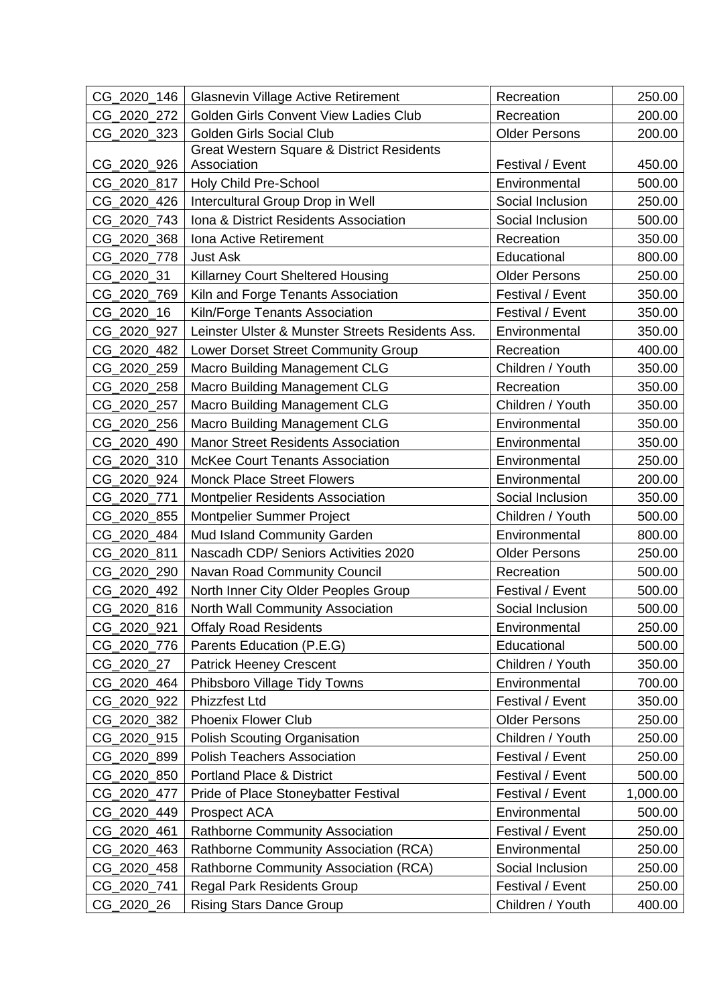| <b>Golden Girls Convent View Ladies Club</b><br>CG_2020_272<br>Recreation<br>200.00<br>CG_2020_323<br><b>Golden Girls Social Club</b><br><b>Older Persons</b><br>200.00<br><b>Great Western Square &amp; District Residents</b><br>Festival / Event<br>CG 2020 926<br>Association<br>450.00<br>CG_2020_817<br><b>Holy Child Pre-School</b><br>Environmental<br>500.00<br>CG_2020_426<br>Intercultural Group Drop in Well<br>Social Inclusion<br>250.00<br>Iona & District Residents Association<br>Social Inclusion<br>CG_2020_743<br>500.00<br>CG_2020_368<br>Iona Active Retirement<br>Recreation<br>350.00<br>CG_2020_778<br>Educational<br>800.00<br><b>Just Ask</b><br>CG 2020 31<br><b>Older Persons</b><br>Killarney Court Sheltered Housing<br>250.00<br>CG_2020_769<br>Kiln and Forge Tenants Association<br>Festival / Event<br>350.00 |
|--------------------------------------------------------------------------------------------------------------------------------------------------------------------------------------------------------------------------------------------------------------------------------------------------------------------------------------------------------------------------------------------------------------------------------------------------------------------------------------------------------------------------------------------------------------------------------------------------------------------------------------------------------------------------------------------------------------------------------------------------------------------------------------------------------------------------------------------------|
|                                                                                                                                                                                                                                                                                                                                                                                                                                                                                                                                                                                                                                                                                                                                                                                                                                                  |
|                                                                                                                                                                                                                                                                                                                                                                                                                                                                                                                                                                                                                                                                                                                                                                                                                                                  |
|                                                                                                                                                                                                                                                                                                                                                                                                                                                                                                                                                                                                                                                                                                                                                                                                                                                  |
|                                                                                                                                                                                                                                                                                                                                                                                                                                                                                                                                                                                                                                                                                                                                                                                                                                                  |
|                                                                                                                                                                                                                                                                                                                                                                                                                                                                                                                                                                                                                                                                                                                                                                                                                                                  |
|                                                                                                                                                                                                                                                                                                                                                                                                                                                                                                                                                                                                                                                                                                                                                                                                                                                  |
|                                                                                                                                                                                                                                                                                                                                                                                                                                                                                                                                                                                                                                                                                                                                                                                                                                                  |
|                                                                                                                                                                                                                                                                                                                                                                                                                                                                                                                                                                                                                                                                                                                                                                                                                                                  |
|                                                                                                                                                                                                                                                                                                                                                                                                                                                                                                                                                                                                                                                                                                                                                                                                                                                  |
|                                                                                                                                                                                                                                                                                                                                                                                                                                                                                                                                                                                                                                                                                                                                                                                                                                                  |
|                                                                                                                                                                                                                                                                                                                                                                                                                                                                                                                                                                                                                                                                                                                                                                                                                                                  |
| CG_2020_16<br>Kiln/Forge Tenants Association<br>Festival / Event<br>350.00                                                                                                                                                                                                                                                                                                                                                                                                                                                                                                                                                                                                                                                                                                                                                                       |
| CG_2020_927<br>Leinster Ulster & Munster Streets Residents Ass.<br>Environmental<br>350.00                                                                                                                                                                                                                                                                                                                                                                                                                                                                                                                                                                                                                                                                                                                                                       |
| Lower Dorset Street Community Group<br>Recreation<br>CG_2020_482<br>400.00                                                                                                                                                                                                                                                                                                                                                                                                                                                                                                                                                                                                                                                                                                                                                                       |
| CG_2020_259<br><b>Macro Building Management CLG</b><br>Children / Youth<br>350.00                                                                                                                                                                                                                                                                                                                                                                                                                                                                                                                                                                                                                                                                                                                                                                |
| CG 2020 258<br><b>Macro Building Management CLG</b><br>Recreation<br>350.00                                                                                                                                                                                                                                                                                                                                                                                                                                                                                                                                                                                                                                                                                                                                                                      |
| <b>Macro Building Management CLG</b><br>CG 2020 257<br>Children / Youth<br>350.00                                                                                                                                                                                                                                                                                                                                                                                                                                                                                                                                                                                                                                                                                                                                                                |
| CG 2020 256<br><b>Macro Building Management CLG</b><br>350.00<br>Environmental                                                                                                                                                                                                                                                                                                                                                                                                                                                                                                                                                                                                                                                                                                                                                                   |
| CG 2020 490<br><b>Manor Street Residents Association</b><br>Environmental<br>350.00                                                                                                                                                                                                                                                                                                                                                                                                                                                                                                                                                                                                                                                                                                                                                              |
| CG_2020_310<br><b>McKee Court Tenants Association</b><br>250.00<br>Environmental                                                                                                                                                                                                                                                                                                                                                                                                                                                                                                                                                                                                                                                                                                                                                                 |
| CG 2020 924<br><b>Monck Place Street Flowers</b><br>200.00<br>Environmental                                                                                                                                                                                                                                                                                                                                                                                                                                                                                                                                                                                                                                                                                                                                                                      |
| CG 2020 771<br><b>Montpelier Residents Association</b><br>Social Inclusion<br>350.00                                                                                                                                                                                                                                                                                                                                                                                                                                                                                                                                                                                                                                                                                                                                                             |
| CG_2020_855<br>Montpelier Summer Project<br>Children / Youth<br>500.00                                                                                                                                                                                                                                                                                                                                                                                                                                                                                                                                                                                                                                                                                                                                                                           |
| CG 2020 484<br>Mud Island Community Garden<br>Environmental<br>800.00                                                                                                                                                                                                                                                                                                                                                                                                                                                                                                                                                                                                                                                                                                                                                                            |
| CG_2020_811<br>Nascadh CDP/ Seniors Activities 2020<br>250.00<br><b>Older Persons</b>                                                                                                                                                                                                                                                                                                                                                                                                                                                                                                                                                                                                                                                                                                                                                            |
| Navan Road Community Council<br>CG_2020_290<br>Recreation<br>500.00                                                                                                                                                                                                                                                                                                                                                                                                                                                                                                                                                                                                                                                                                                                                                                              |
| CG 2020_492<br>North Inner City Older Peoples Group<br>Festival / Event<br>500.00                                                                                                                                                                                                                                                                                                                                                                                                                                                                                                                                                                                                                                                                                                                                                                |
| CG_2020_816<br>North Wall Community Association<br>Social Inclusion<br>500.00                                                                                                                                                                                                                                                                                                                                                                                                                                                                                                                                                                                                                                                                                                                                                                    |
| CG_2020_921<br><b>Offaly Road Residents</b><br>Environmental<br>250.00                                                                                                                                                                                                                                                                                                                                                                                                                                                                                                                                                                                                                                                                                                                                                                           |
| CG_2020_776<br>Parents Education (P.E.G)<br>Educational<br>500.00                                                                                                                                                                                                                                                                                                                                                                                                                                                                                                                                                                                                                                                                                                                                                                                |
| CG_2020_27<br><b>Patrick Heeney Crescent</b><br>Children / Youth<br>350.00                                                                                                                                                                                                                                                                                                                                                                                                                                                                                                                                                                                                                                                                                                                                                                       |
| CG_2020_464<br>Phibsboro Village Tidy Towns<br>Environmental<br>700.00                                                                                                                                                                                                                                                                                                                                                                                                                                                                                                                                                                                                                                                                                                                                                                           |
| CG_2020_922<br><b>Phizzfest Ltd</b><br>Festival / Event<br>350.00                                                                                                                                                                                                                                                                                                                                                                                                                                                                                                                                                                                                                                                                                                                                                                                |
| <b>Phoenix Flower Club</b><br>CG_2020_382<br><b>Older Persons</b><br>250.00                                                                                                                                                                                                                                                                                                                                                                                                                                                                                                                                                                                                                                                                                                                                                                      |
| CG_2020_915<br>Polish Scouting Organisation<br>Children / Youth<br>250.00                                                                                                                                                                                                                                                                                                                                                                                                                                                                                                                                                                                                                                                                                                                                                                        |
| CG_2020_899<br><b>Polish Teachers Association</b><br>Festival / Event<br>250.00                                                                                                                                                                                                                                                                                                                                                                                                                                                                                                                                                                                                                                                                                                                                                                  |
| CG_2020_850<br><b>Portland Place &amp; District</b><br>Festival / Event<br>500.00                                                                                                                                                                                                                                                                                                                                                                                                                                                                                                                                                                                                                                                                                                                                                                |
| CG_2020_477<br>Pride of Place Stoneybatter Festival<br>Festival / Event<br>1,000.00                                                                                                                                                                                                                                                                                                                                                                                                                                                                                                                                                                                                                                                                                                                                                              |
| CG_2020_449<br>Prospect ACA<br>Environmental<br>500.00                                                                                                                                                                                                                                                                                                                                                                                                                                                                                                                                                                                                                                                                                                                                                                                           |
| CG_2020_461<br><b>Rathborne Community Association</b><br>Festival / Event<br>250.00                                                                                                                                                                                                                                                                                                                                                                                                                                                                                                                                                                                                                                                                                                                                                              |
| CG_2020_463<br>Rathborne Community Association (RCA)<br>Environmental<br>250.00                                                                                                                                                                                                                                                                                                                                                                                                                                                                                                                                                                                                                                                                                                                                                                  |
| CG_2020_458<br>Social Inclusion<br>Rathborne Community Association (RCA)<br>250.00                                                                                                                                                                                                                                                                                                                                                                                                                                                                                                                                                                                                                                                                                                                                                               |
| CG_2020_741<br><b>Regal Park Residents Group</b><br>Festival / Event<br>250.00                                                                                                                                                                                                                                                                                                                                                                                                                                                                                                                                                                                                                                                                                                                                                                   |
| CG_2020_26<br><b>Rising Stars Dance Group</b><br>Children / Youth<br>400.00                                                                                                                                                                                                                                                                                                                                                                                                                                                                                                                                                                                                                                                                                                                                                                      |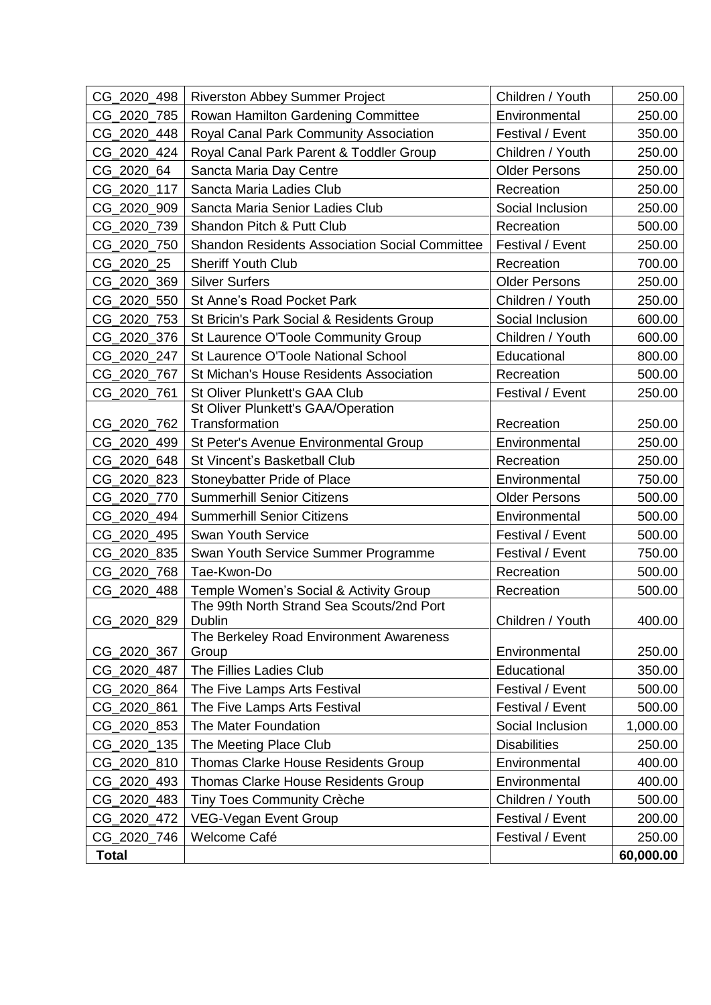| CG_2020_498  | <b>Riverston Abbey Summer Project</b>                      | Children / Youth     | 250.00    |
|--------------|------------------------------------------------------------|----------------------|-----------|
| CG_2020_785  | Rowan Hamilton Gardening Committee                         | Environmental        | 250.00    |
| CG 2020 448  | Royal Canal Park Community Association                     | Festival / Event     | 350.00    |
| CG 2020 424  | Royal Canal Park Parent & Toddler Group                    | Children / Youth     | 250.00    |
| CG 2020 64   | Sancta Maria Day Centre                                    | <b>Older Persons</b> | 250.00    |
| CG 2020 117  | Sancta Maria Ladies Club                                   | Recreation           | 250.00    |
| CG_2020_909  | Sancta Maria Senior Ladies Club                            | Social Inclusion     | 250.00    |
| CG_2020_739  | Shandon Pitch & Putt Club                                  | Recreation           | 500.00    |
| CG 2020 750  | <b>Shandon Residents Association Social Committee</b>      | Festival / Event     | 250.00    |
| CG_2020_25   | <b>Sheriff Youth Club</b>                                  | Recreation           | 700.00    |
| CG_2020_369  | <b>Silver Surfers</b>                                      | <b>Older Persons</b> | 250.00    |
| CG 2020 550  | St Anne's Road Pocket Park                                 | Children / Youth     | 250.00    |
| CG_2020_753  | St Bricin's Park Social & Residents Group                  | Social Inclusion     | 600.00    |
| CG 2020 376  | St Laurence O'Toole Community Group                        | Children / Youth     | 600.00    |
| CG 2020 247  | St Laurence O'Toole National School                        | Educational          | 800.00    |
| CG 2020 767  | St Michan's House Residents Association                    | Recreation           | 500.00    |
| CG 2020 761  | St Oliver Plunkett's GAA Club                              | Festival / Event     | 250.00    |
|              | St Oliver Plunkett's GAA/Operation                         |                      |           |
| CG_2020_762  | Transformation                                             | Recreation           | 250.00    |
| CG_2020_499  | St Peter's Avenue Environmental Group                      | Environmental        | 250.00    |
| CG_2020_648  | St Vincent's Basketball Club                               | Recreation           | 250.00    |
| CG_2020_823  | Stoneybatter Pride of Place                                | Environmental        | 750.00    |
| CG_2020_770  | <b>Summerhill Senior Citizens</b>                          | <b>Older Persons</b> | 500.00    |
| CG_2020_494  | <b>Summerhill Senior Citizens</b>                          | Environmental        | 500.00    |
| CG_2020_495  | <b>Swan Youth Service</b>                                  | Festival / Event     | 500.00    |
| CG_2020_835  | Swan Youth Service Summer Programme                        | Festival / Event     | 750.00    |
| CG_2020_768  | Tae-Kwon-Do                                                | Recreation           | 500.00    |
| CG 2020 488  | Temple Women's Social & Activity Group                     | Recreation           | 500.00    |
|              | The 99th North Strand Sea Scouts/2nd Port<br><b>Dublin</b> |                      |           |
| CG_2020_829  | The Berkeley Road Environment Awareness                    | Children / Youth     | 400.00    |
| CG_2020_367  | Group                                                      | Environmental        | 250.00    |
| CG_2020_487  | The Fillies Ladies Club                                    | Educational          | 350.00    |
| CG 2020 864  | The Five Lamps Arts Festival                               | Festival / Event     | 500.00    |
| CG_2020_861  | The Five Lamps Arts Festival                               | Festival / Event     | 500.00    |
| CG_2020_853  | The Mater Foundation                                       | Social Inclusion     | 1,000.00  |
| CG 2020 135  | The Meeting Place Club                                     | <b>Disabilities</b>  | 250.00    |
| CG_2020_810  | <b>Thomas Clarke House Residents Group</b>                 | Environmental        | 400.00    |
| CG_2020_493  | Thomas Clarke House Residents Group                        | Environmental        | 400.00    |
| CG_2020_483  | <b>Tiny Toes Community Crèche</b>                          | Children / Youth     | 500.00    |
| CG_2020_472  | VEG-Vegan Event Group                                      | Festival / Event     | 200.00    |
| CG_2020_746  | Welcome Café                                               | Festival / Event     | 250.00    |
| <b>Total</b> |                                                            |                      | 60,000.00 |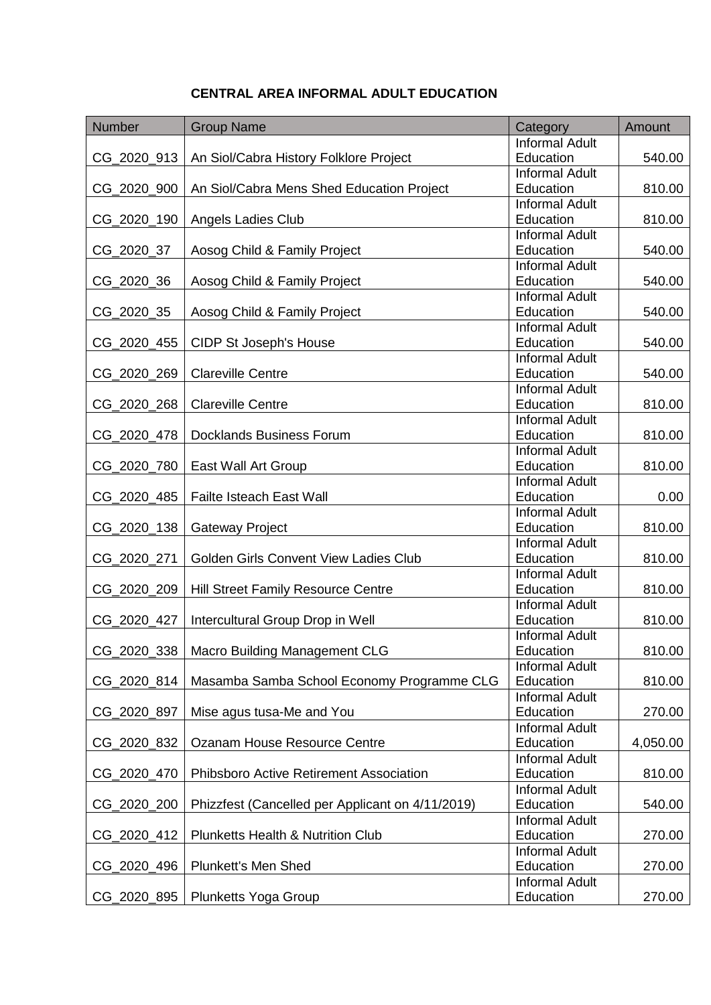| <b>Informal Adult</b><br>CG_2020_913<br>An Siol/Cabra History Folklore Project<br>Education<br>540.00<br><b>Informal Adult</b><br>CG_2020_900<br>An Siol/Cabra Mens Shed Education Project<br>Education<br>810.00<br><b>Informal Adult</b><br>CG_2020_190<br>Education<br>Angels Ladies Club<br>810.00<br><b>Informal Adult</b><br>CG_2020_37<br>Aosog Child & Family Project<br>Education<br>540.00<br><b>Informal Adult</b><br>CG_2020_36<br>Aosog Child & Family Project<br>Education<br>540.00<br><b>Informal Adult</b><br>CG_2020_35<br>Aosog Child & Family Project<br>Education<br>540.00<br><b>Informal Adult</b><br><b>CIDP St Joseph's House</b><br>CG_2020_455<br>Education<br>540.00<br><b>Informal Adult</b><br><b>Clareville Centre</b><br>CG_2020_269<br>Education<br>540.00<br><b>Informal Adult</b><br>CG 2020 268<br><b>Clareville Centre</b><br>Education<br>810.00<br><b>Informal Adult</b><br>CG_2020_478<br><b>Docklands Business Forum</b><br>Education<br>810.00<br><b>Informal Adult</b><br>CG 2020 780<br>East Wall Art Group<br>Education<br>810.00<br><b>Informal Adult</b><br>CG_2020_485<br><b>Failte Isteach East Wall</b><br>0.00<br>Education<br><b>Informal Adult</b><br>CG_2020_138<br><b>Gateway Project</b><br>Education<br>810.00<br><b>Informal Adult</b><br><b>Golden Girls Convent View Ladies Club</b><br>CG_2020_271<br>Education<br>810.00<br><b>Informal Adult</b><br>Education<br>CG_2020_209<br>Hill Street Family Resource Centre<br>810.00<br><b>Informal Adult</b><br>CG 2020 427<br>Intercultural Group Drop in Well<br>Education<br>810.00<br><b>Informal Adult</b><br><b>Macro Building Management CLG</b><br>CG_2020_338<br>810.00<br>Education<br><b>Informal Adult</b><br>Masamba Samba School Economy Programme CLG<br>CG_2020_814<br>Education<br>810.00<br><b>Informal Adult</b><br>CG_2020_897<br>Mise agus tusa-Me and You<br>Education<br>270.00<br><b>Informal Adult</b><br>CG_2020_832<br>Ozanam House Resource Centre<br>Education<br>4,050.00<br><b>Informal Adult</b><br>CG 2020 470<br>Phibsboro Active Retirement Association<br>Education<br>810.00<br><b>Informal Adult</b><br>CG_2020_200<br>Phizzfest (Cancelled per Applicant on 4/11/2019)<br>Education<br>540.00<br><b>Informal Adult</b><br>CG_2020_412<br><b>Plunketts Health &amp; Nutrition Club</b><br>Education<br>270.00<br><b>Informal Adult</b><br>CG_2020_496<br><b>Plunkett's Men Shed</b><br>Education<br>270.00<br><b>Informal Adult</b> | <b>Number</b> | <b>Group Name</b>           | Category  | Amount |
|-----------------------------------------------------------------------------------------------------------------------------------------------------------------------------------------------------------------------------------------------------------------------------------------------------------------------------------------------------------------------------------------------------------------------------------------------------------------------------------------------------------------------------------------------------------------------------------------------------------------------------------------------------------------------------------------------------------------------------------------------------------------------------------------------------------------------------------------------------------------------------------------------------------------------------------------------------------------------------------------------------------------------------------------------------------------------------------------------------------------------------------------------------------------------------------------------------------------------------------------------------------------------------------------------------------------------------------------------------------------------------------------------------------------------------------------------------------------------------------------------------------------------------------------------------------------------------------------------------------------------------------------------------------------------------------------------------------------------------------------------------------------------------------------------------------------------------------------------------------------------------------------------------------------------------------------------------------------------------------------------------------------------------------------------------------------------------------------------------------------------------------------------------------------------------------------------------------------------------------------------------------------------------------------------------------------------------------------------------------------------------------------------------------------------------------------------------------------------------------|---------------|-----------------------------|-----------|--------|
|                                                                                                                                                                                                                                                                                                                                                                                                                                                                                                                                                                                                                                                                                                                                                                                                                                                                                                                                                                                                                                                                                                                                                                                                                                                                                                                                                                                                                                                                                                                                                                                                                                                                                                                                                                                                                                                                                                                                                                                                                                                                                                                                                                                                                                                                                                                                                                                                                                                                                   |               |                             |           |        |
|                                                                                                                                                                                                                                                                                                                                                                                                                                                                                                                                                                                                                                                                                                                                                                                                                                                                                                                                                                                                                                                                                                                                                                                                                                                                                                                                                                                                                                                                                                                                                                                                                                                                                                                                                                                                                                                                                                                                                                                                                                                                                                                                                                                                                                                                                                                                                                                                                                                                                   |               |                             |           |        |
|                                                                                                                                                                                                                                                                                                                                                                                                                                                                                                                                                                                                                                                                                                                                                                                                                                                                                                                                                                                                                                                                                                                                                                                                                                                                                                                                                                                                                                                                                                                                                                                                                                                                                                                                                                                                                                                                                                                                                                                                                                                                                                                                                                                                                                                                                                                                                                                                                                                                                   |               |                             |           |        |
|                                                                                                                                                                                                                                                                                                                                                                                                                                                                                                                                                                                                                                                                                                                                                                                                                                                                                                                                                                                                                                                                                                                                                                                                                                                                                                                                                                                                                                                                                                                                                                                                                                                                                                                                                                                                                                                                                                                                                                                                                                                                                                                                                                                                                                                                                                                                                                                                                                                                                   |               |                             |           |        |
|                                                                                                                                                                                                                                                                                                                                                                                                                                                                                                                                                                                                                                                                                                                                                                                                                                                                                                                                                                                                                                                                                                                                                                                                                                                                                                                                                                                                                                                                                                                                                                                                                                                                                                                                                                                                                                                                                                                                                                                                                                                                                                                                                                                                                                                                                                                                                                                                                                                                                   |               |                             |           |        |
|                                                                                                                                                                                                                                                                                                                                                                                                                                                                                                                                                                                                                                                                                                                                                                                                                                                                                                                                                                                                                                                                                                                                                                                                                                                                                                                                                                                                                                                                                                                                                                                                                                                                                                                                                                                                                                                                                                                                                                                                                                                                                                                                                                                                                                                                                                                                                                                                                                                                                   |               |                             |           |        |
|                                                                                                                                                                                                                                                                                                                                                                                                                                                                                                                                                                                                                                                                                                                                                                                                                                                                                                                                                                                                                                                                                                                                                                                                                                                                                                                                                                                                                                                                                                                                                                                                                                                                                                                                                                                                                                                                                                                                                                                                                                                                                                                                                                                                                                                                                                                                                                                                                                                                                   |               |                             |           |        |
|                                                                                                                                                                                                                                                                                                                                                                                                                                                                                                                                                                                                                                                                                                                                                                                                                                                                                                                                                                                                                                                                                                                                                                                                                                                                                                                                                                                                                                                                                                                                                                                                                                                                                                                                                                                                                                                                                                                                                                                                                                                                                                                                                                                                                                                                                                                                                                                                                                                                                   |               |                             |           |        |
|                                                                                                                                                                                                                                                                                                                                                                                                                                                                                                                                                                                                                                                                                                                                                                                                                                                                                                                                                                                                                                                                                                                                                                                                                                                                                                                                                                                                                                                                                                                                                                                                                                                                                                                                                                                                                                                                                                                                                                                                                                                                                                                                                                                                                                                                                                                                                                                                                                                                                   |               |                             |           |        |
|                                                                                                                                                                                                                                                                                                                                                                                                                                                                                                                                                                                                                                                                                                                                                                                                                                                                                                                                                                                                                                                                                                                                                                                                                                                                                                                                                                                                                                                                                                                                                                                                                                                                                                                                                                                                                                                                                                                                                                                                                                                                                                                                                                                                                                                                                                                                                                                                                                                                                   |               |                             |           |        |
|                                                                                                                                                                                                                                                                                                                                                                                                                                                                                                                                                                                                                                                                                                                                                                                                                                                                                                                                                                                                                                                                                                                                                                                                                                                                                                                                                                                                                                                                                                                                                                                                                                                                                                                                                                                                                                                                                                                                                                                                                                                                                                                                                                                                                                                                                                                                                                                                                                                                                   |               |                             |           |        |
|                                                                                                                                                                                                                                                                                                                                                                                                                                                                                                                                                                                                                                                                                                                                                                                                                                                                                                                                                                                                                                                                                                                                                                                                                                                                                                                                                                                                                                                                                                                                                                                                                                                                                                                                                                                                                                                                                                                                                                                                                                                                                                                                                                                                                                                                                                                                                                                                                                                                                   |               |                             |           |        |
|                                                                                                                                                                                                                                                                                                                                                                                                                                                                                                                                                                                                                                                                                                                                                                                                                                                                                                                                                                                                                                                                                                                                                                                                                                                                                                                                                                                                                                                                                                                                                                                                                                                                                                                                                                                                                                                                                                                                                                                                                                                                                                                                                                                                                                                                                                                                                                                                                                                                                   |               |                             |           |        |
|                                                                                                                                                                                                                                                                                                                                                                                                                                                                                                                                                                                                                                                                                                                                                                                                                                                                                                                                                                                                                                                                                                                                                                                                                                                                                                                                                                                                                                                                                                                                                                                                                                                                                                                                                                                                                                                                                                                                                                                                                                                                                                                                                                                                                                                                                                                                                                                                                                                                                   |               |                             |           |        |
|                                                                                                                                                                                                                                                                                                                                                                                                                                                                                                                                                                                                                                                                                                                                                                                                                                                                                                                                                                                                                                                                                                                                                                                                                                                                                                                                                                                                                                                                                                                                                                                                                                                                                                                                                                                                                                                                                                                                                                                                                                                                                                                                                                                                                                                                                                                                                                                                                                                                                   |               |                             |           |        |
|                                                                                                                                                                                                                                                                                                                                                                                                                                                                                                                                                                                                                                                                                                                                                                                                                                                                                                                                                                                                                                                                                                                                                                                                                                                                                                                                                                                                                                                                                                                                                                                                                                                                                                                                                                                                                                                                                                                                                                                                                                                                                                                                                                                                                                                                                                                                                                                                                                                                                   |               |                             |           |        |
|                                                                                                                                                                                                                                                                                                                                                                                                                                                                                                                                                                                                                                                                                                                                                                                                                                                                                                                                                                                                                                                                                                                                                                                                                                                                                                                                                                                                                                                                                                                                                                                                                                                                                                                                                                                                                                                                                                                                                                                                                                                                                                                                                                                                                                                                                                                                                                                                                                                                                   |               |                             |           |        |
|                                                                                                                                                                                                                                                                                                                                                                                                                                                                                                                                                                                                                                                                                                                                                                                                                                                                                                                                                                                                                                                                                                                                                                                                                                                                                                                                                                                                                                                                                                                                                                                                                                                                                                                                                                                                                                                                                                                                                                                                                                                                                                                                                                                                                                                                                                                                                                                                                                                                                   |               |                             |           |        |
|                                                                                                                                                                                                                                                                                                                                                                                                                                                                                                                                                                                                                                                                                                                                                                                                                                                                                                                                                                                                                                                                                                                                                                                                                                                                                                                                                                                                                                                                                                                                                                                                                                                                                                                                                                                                                                                                                                                                                                                                                                                                                                                                                                                                                                                                                                                                                                                                                                                                                   |               |                             |           |        |
|                                                                                                                                                                                                                                                                                                                                                                                                                                                                                                                                                                                                                                                                                                                                                                                                                                                                                                                                                                                                                                                                                                                                                                                                                                                                                                                                                                                                                                                                                                                                                                                                                                                                                                                                                                                                                                                                                                                                                                                                                                                                                                                                                                                                                                                                                                                                                                                                                                                                                   |               |                             |           |        |
|                                                                                                                                                                                                                                                                                                                                                                                                                                                                                                                                                                                                                                                                                                                                                                                                                                                                                                                                                                                                                                                                                                                                                                                                                                                                                                                                                                                                                                                                                                                                                                                                                                                                                                                                                                                                                                                                                                                                                                                                                                                                                                                                                                                                                                                                                                                                                                                                                                                                                   |               |                             |           |        |
|                                                                                                                                                                                                                                                                                                                                                                                                                                                                                                                                                                                                                                                                                                                                                                                                                                                                                                                                                                                                                                                                                                                                                                                                                                                                                                                                                                                                                                                                                                                                                                                                                                                                                                                                                                                                                                                                                                                                                                                                                                                                                                                                                                                                                                                                                                                                                                                                                                                                                   |               |                             |           |        |
|                                                                                                                                                                                                                                                                                                                                                                                                                                                                                                                                                                                                                                                                                                                                                                                                                                                                                                                                                                                                                                                                                                                                                                                                                                                                                                                                                                                                                                                                                                                                                                                                                                                                                                                                                                                                                                                                                                                                                                                                                                                                                                                                                                                                                                                                                                                                                                                                                                                                                   |               |                             |           |        |
|                                                                                                                                                                                                                                                                                                                                                                                                                                                                                                                                                                                                                                                                                                                                                                                                                                                                                                                                                                                                                                                                                                                                                                                                                                                                                                                                                                                                                                                                                                                                                                                                                                                                                                                                                                                                                                                                                                                                                                                                                                                                                                                                                                                                                                                                                                                                                                                                                                                                                   |               |                             |           |        |
|                                                                                                                                                                                                                                                                                                                                                                                                                                                                                                                                                                                                                                                                                                                                                                                                                                                                                                                                                                                                                                                                                                                                                                                                                                                                                                                                                                                                                                                                                                                                                                                                                                                                                                                                                                                                                                                                                                                                                                                                                                                                                                                                                                                                                                                                                                                                                                                                                                                                                   |               |                             |           |        |
|                                                                                                                                                                                                                                                                                                                                                                                                                                                                                                                                                                                                                                                                                                                                                                                                                                                                                                                                                                                                                                                                                                                                                                                                                                                                                                                                                                                                                                                                                                                                                                                                                                                                                                                                                                                                                                                                                                                                                                                                                                                                                                                                                                                                                                                                                                                                                                                                                                                                                   |               |                             |           |        |
|                                                                                                                                                                                                                                                                                                                                                                                                                                                                                                                                                                                                                                                                                                                                                                                                                                                                                                                                                                                                                                                                                                                                                                                                                                                                                                                                                                                                                                                                                                                                                                                                                                                                                                                                                                                                                                                                                                                                                                                                                                                                                                                                                                                                                                                                                                                                                                                                                                                                                   |               |                             |           |        |
|                                                                                                                                                                                                                                                                                                                                                                                                                                                                                                                                                                                                                                                                                                                                                                                                                                                                                                                                                                                                                                                                                                                                                                                                                                                                                                                                                                                                                                                                                                                                                                                                                                                                                                                                                                                                                                                                                                                                                                                                                                                                                                                                                                                                                                                                                                                                                                                                                                                                                   |               |                             |           |        |
|                                                                                                                                                                                                                                                                                                                                                                                                                                                                                                                                                                                                                                                                                                                                                                                                                                                                                                                                                                                                                                                                                                                                                                                                                                                                                                                                                                                                                                                                                                                                                                                                                                                                                                                                                                                                                                                                                                                                                                                                                                                                                                                                                                                                                                                                                                                                                                                                                                                                                   |               |                             |           |        |
|                                                                                                                                                                                                                                                                                                                                                                                                                                                                                                                                                                                                                                                                                                                                                                                                                                                                                                                                                                                                                                                                                                                                                                                                                                                                                                                                                                                                                                                                                                                                                                                                                                                                                                                                                                                                                                                                                                                                                                                                                                                                                                                                                                                                                                                                                                                                                                                                                                                                                   |               |                             |           |        |
|                                                                                                                                                                                                                                                                                                                                                                                                                                                                                                                                                                                                                                                                                                                                                                                                                                                                                                                                                                                                                                                                                                                                                                                                                                                                                                                                                                                                                                                                                                                                                                                                                                                                                                                                                                                                                                                                                                                                                                                                                                                                                                                                                                                                                                                                                                                                                                                                                                                                                   |               |                             |           |        |
|                                                                                                                                                                                                                                                                                                                                                                                                                                                                                                                                                                                                                                                                                                                                                                                                                                                                                                                                                                                                                                                                                                                                                                                                                                                                                                                                                                                                                                                                                                                                                                                                                                                                                                                                                                                                                                                                                                                                                                                                                                                                                                                                                                                                                                                                                                                                                                                                                                                                                   |               |                             |           |        |
|                                                                                                                                                                                                                                                                                                                                                                                                                                                                                                                                                                                                                                                                                                                                                                                                                                                                                                                                                                                                                                                                                                                                                                                                                                                                                                                                                                                                                                                                                                                                                                                                                                                                                                                                                                                                                                                                                                                                                                                                                                                                                                                                                                                                                                                                                                                                                                                                                                                                                   |               |                             |           |        |
|                                                                                                                                                                                                                                                                                                                                                                                                                                                                                                                                                                                                                                                                                                                                                                                                                                                                                                                                                                                                                                                                                                                                                                                                                                                                                                                                                                                                                                                                                                                                                                                                                                                                                                                                                                                                                                                                                                                                                                                                                                                                                                                                                                                                                                                                                                                                                                                                                                                                                   |               |                             |           |        |
|                                                                                                                                                                                                                                                                                                                                                                                                                                                                                                                                                                                                                                                                                                                                                                                                                                                                                                                                                                                                                                                                                                                                                                                                                                                                                                                                                                                                                                                                                                                                                                                                                                                                                                                                                                                                                                                                                                                                                                                                                                                                                                                                                                                                                                                                                                                                                                                                                                                                                   |               |                             |           |        |
|                                                                                                                                                                                                                                                                                                                                                                                                                                                                                                                                                                                                                                                                                                                                                                                                                                                                                                                                                                                                                                                                                                                                                                                                                                                                                                                                                                                                                                                                                                                                                                                                                                                                                                                                                                                                                                                                                                                                                                                                                                                                                                                                                                                                                                                                                                                                                                                                                                                                                   |               |                             |           |        |
|                                                                                                                                                                                                                                                                                                                                                                                                                                                                                                                                                                                                                                                                                                                                                                                                                                                                                                                                                                                                                                                                                                                                                                                                                                                                                                                                                                                                                                                                                                                                                                                                                                                                                                                                                                                                                                                                                                                                                                                                                                                                                                                                                                                                                                                                                                                                                                                                                                                                                   |               |                             |           |        |
|                                                                                                                                                                                                                                                                                                                                                                                                                                                                                                                                                                                                                                                                                                                                                                                                                                                                                                                                                                                                                                                                                                                                                                                                                                                                                                                                                                                                                                                                                                                                                                                                                                                                                                                                                                                                                                                                                                                                                                                                                                                                                                                                                                                                                                                                                                                                                                                                                                                                                   |               |                             |           |        |
|                                                                                                                                                                                                                                                                                                                                                                                                                                                                                                                                                                                                                                                                                                                                                                                                                                                                                                                                                                                                                                                                                                                                                                                                                                                                                                                                                                                                                                                                                                                                                                                                                                                                                                                                                                                                                                                                                                                                                                                                                                                                                                                                                                                                                                                                                                                                                                                                                                                                                   |               |                             |           |        |
|                                                                                                                                                                                                                                                                                                                                                                                                                                                                                                                                                                                                                                                                                                                                                                                                                                                                                                                                                                                                                                                                                                                                                                                                                                                                                                                                                                                                                                                                                                                                                                                                                                                                                                                                                                                                                                                                                                                                                                                                                                                                                                                                                                                                                                                                                                                                                                                                                                                                                   |               |                             |           |        |
|                                                                                                                                                                                                                                                                                                                                                                                                                                                                                                                                                                                                                                                                                                                                                                                                                                                                                                                                                                                                                                                                                                                                                                                                                                                                                                                                                                                                                                                                                                                                                                                                                                                                                                                                                                                                                                                                                                                                                                                                                                                                                                                                                                                                                                                                                                                                                                                                                                                                                   |               |                             |           |        |
|                                                                                                                                                                                                                                                                                                                                                                                                                                                                                                                                                                                                                                                                                                                                                                                                                                                                                                                                                                                                                                                                                                                                                                                                                                                                                                                                                                                                                                                                                                                                                                                                                                                                                                                                                                                                                                                                                                                                                                                                                                                                                                                                                                                                                                                                                                                                                                                                                                                                                   |               |                             |           |        |
|                                                                                                                                                                                                                                                                                                                                                                                                                                                                                                                                                                                                                                                                                                                                                                                                                                                                                                                                                                                                                                                                                                                                                                                                                                                                                                                                                                                                                                                                                                                                                                                                                                                                                                                                                                                                                                                                                                                                                                                                                                                                                                                                                                                                                                                                                                                                                                                                                                                                                   |               |                             |           |        |
|                                                                                                                                                                                                                                                                                                                                                                                                                                                                                                                                                                                                                                                                                                                                                                                                                                                                                                                                                                                                                                                                                                                                                                                                                                                                                                                                                                                                                                                                                                                                                                                                                                                                                                                                                                                                                                                                                                                                                                                                                                                                                                                                                                                                                                                                                                                                                                                                                                                                                   |               |                             |           |        |
|                                                                                                                                                                                                                                                                                                                                                                                                                                                                                                                                                                                                                                                                                                                                                                                                                                                                                                                                                                                                                                                                                                                                                                                                                                                                                                                                                                                                                                                                                                                                                                                                                                                                                                                                                                                                                                                                                                                                                                                                                                                                                                                                                                                                                                                                                                                                                                                                                                                                                   |               |                             |           |        |
|                                                                                                                                                                                                                                                                                                                                                                                                                                                                                                                                                                                                                                                                                                                                                                                                                                                                                                                                                                                                                                                                                                                                                                                                                                                                                                                                                                                                                                                                                                                                                                                                                                                                                                                                                                                                                                                                                                                                                                                                                                                                                                                                                                                                                                                                                                                                                                                                                                                                                   |               |                             |           |        |
|                                                                                                                                                                                                                                                                                                                                                                                                                                                                                                                                                                                                                                                                                                                                                                                                                                                                                                                                                                                                                                                                                                                                                                                                                                                                                                                                                                                                                                                                                                                                                                                                                                                                                                                                                                                                                                                                                                                                                                                                                                                                                                                                                                                                                                                                                                                                                                                                                                                                                   |               |                             |           |        |
|                                                                                                                                                                                                                                                                                                                                                                                                                                                                                                                                                                                                                                                                                                                                                                                                                                                                                                                                                                                                                                                                                                                                                                                                                                                                                                                                                                                                                                                                                                                                                                                                                                                                                                                                                                                                                                                                                                                                                                                                                                                                                                                                                                                                                                                                                                                                                                                                                                                                                   |               |                             |           |        |
|                                                                                                                                                                                                                                                                                                                                                                                                                                                                                                                                                                                                                                                                                                                                                                                                                                                                                                                                                                                                                                                                                                                                                                                                                                                                                                                                                                                                                                                                                                                                                                                                                                                                                                                                                                                                                                                                                                                                                                                                                                                                                                                                                                                                                                                                                                                                                                                                                                                                                   | CG_2020_895   | <b>Plunketts Yoga Group</b> | Education | 270.00 |

# **CENTRAL AREA INFORMAL ADULT EDUCATION**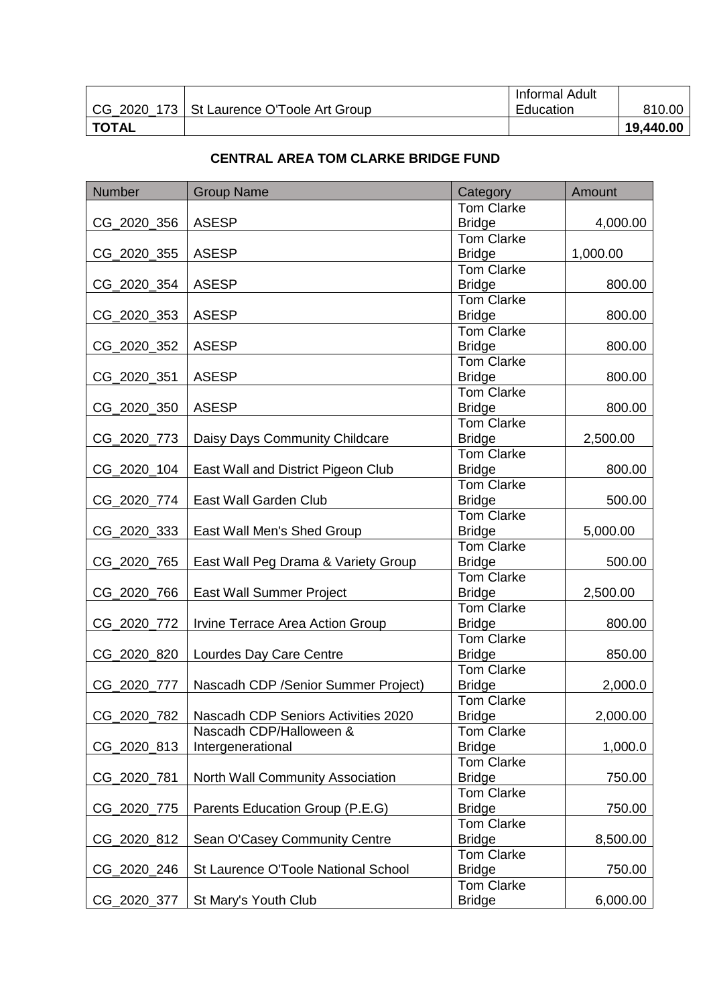|              |                                             | Informal Adult |           |
|--------------|---------------------------------------------|----------------|-----------|
|              | CG 2020 173   St Laurence O'Toole Art Group | Education      | 810.00    |
| <b>TOTAL</b> |                                             |                | 19,440.00 |

# **CENTRAL AREA TOM CLARKE BRIDGE FUND**

| Number      | <b>Group Name</b>                    | Category          | Amount   |
|-------------|--------------------------------------|-------------------|----------|
|             |                                      | <b>Tom Clarke</b> |          |
| CG 2020 356 | <b>ASESP</b>                         | <b>Bridge</b>     | 4,000.00 |
|             |                                      | <b>Tom Clarke</b> |          |
| CG_2020_355 | <b>ASESP</b>                         | <b>Bridge</b>     | 1,000.00 |
|             |                                      | <b>Tom Clarke</b> |          |
| CG_2020_354 | <b>ASESP</b>                         | <b>Bridge</b>     | 800.00   |
|             |                                      | <b>Tom Clarke</b> |          |
| CG_2020_353 | <b>ASESP</b>                         | <b>Bridge</b>     | 800.00   |
|             |                                      | Tom Clarke        |          |
| CG_2020_352 | <b>ASESP</b>                         | <b>Bridge</b>     | 800.00   |
|             |                                      | <b>Tom Clarke</b> |          |
| CG_2020_351 | <b>ASESP</b>                         | <b>Bridge</b>     | 800.00   |
|             |                                      | <b>Tom Clarke</b> |          |
| CG_2020_350 | <b>ASESP</b>                         | <b>Bridge</b>     | 800.00   |
|             |                                      | <b>Tom Clarke</b> |          |
| CG_2020_773 | Daisy Days Community Childcare       | <b>Bridge</b>     | 2,500.00 |
|             |                                      | <b>Tom Clarke</b> |          |
| CG 2020 104 | East Wall and District Pigeon Club   | <b>Bridge</b>     | 800.00   |
|             |                                      | <b>Tom Clarke</b> |          |
| CG_2020_774 | East Wall Garden Club                | <b>Bridge</b>     | 500.00   |
|             |                                      | <b>Tom Clarke</b> |          |
| CG_2020_333 | East Wall Men's Shed Group           | <b>Bridge</b>     | 5,000.00 |
|             |                                      | <b>Tom Clarke</b> |          |
| CG_2020_765 | East Wall Peg Drama & Variety Group  | <b>Bridge</b>     | 500.00   |
|             |                                      | <b>Tom Clarke</b> |          |
| CG_2020_766 | <b>East Wall Summer Project</b>      | <b>Bridge</b>     | 2,500.00 |
|             |                                      | Tom Clarke        |          |
| CG_2020_772 | Irvine Terrace Area Action Group     | <b>Bridge</b>     | 800.00   |
|             |                                      | <b>Tom Clarke</b> |          |
| CG_2020_820 | Lourdes Day Care Centre              | <b>Bridge</b>     | 850.00   |
|             |                                      | <b>Tom Clarke</b> |          |
| CG 2020 777 | Nascadh CDP / Senior Summer Project) | <b>Bridge</b>     | 2,000.0  |
|             |                                      | <b>Tom Clarke</b> |          |
| CG_2020_782 | Nascadh CDP Seniors Activities 2020  | <b>Bridge</b>     | 2,000.00 |
|             | Nascadh CDP/Halloween &              | <b>Tom Clarke</b> |          |
| CG_2020_813 | Intergenerational                    | <b>Bridge</b>     | 1,000.0  |
|             |                                      | <b>Tom Clarke</b> |          |
| CG 2020 781 | North Wall Community Association     | <b>Bridge</b>     | 750.00   |
|             |                                      | <b>Tom Clarke</b> |          |
| CG_2020_775 | Parents Education Group (P.E.G)      | <b>Bridge</b>     | 750.00   |
|             |                                      | <b>Tom Clarke</b> |          |
| CG_2020_812 | Sean O'Casey Community Centre        | <b>Bridge</b>     | 8,500.00 |
|             |                                      | <b>Tom Clarke</b> |          |
| CG_2020_246 | St Laurence O'Toole National School  | <b>Bridge</b>     | 750.00   |
|             |                                      | <b>Tom Clarke</b> |          |
| CG_2020_377 | St Mary's Youth Club                 | <b>Bridge</b>     | 6,000.00 |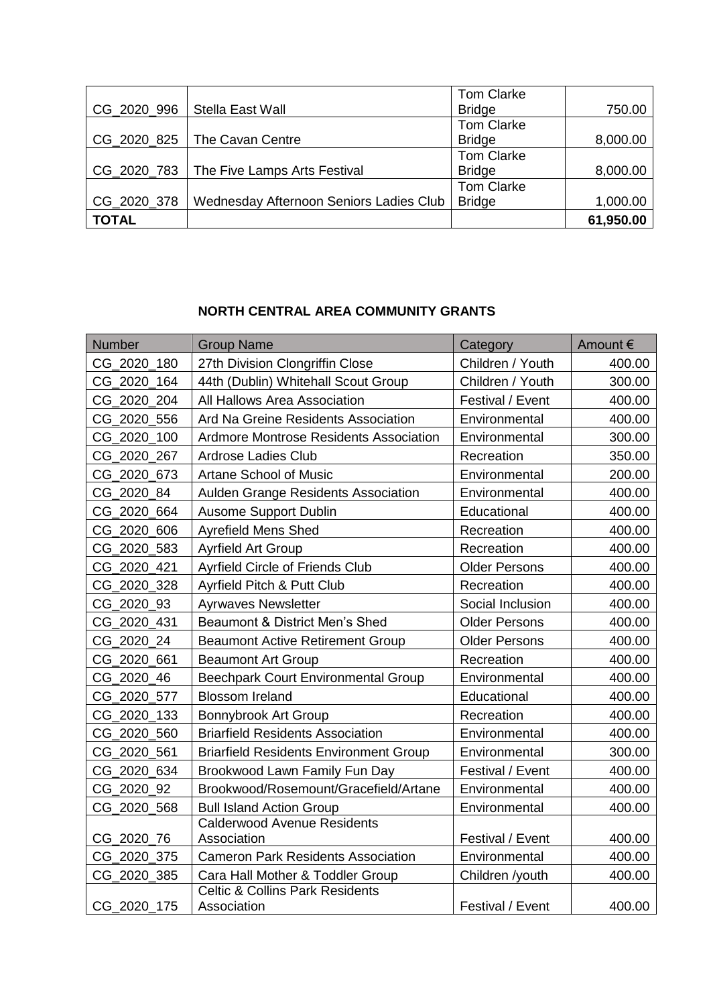|              |                                         | <b>Tom Clarke</b> |           |
|--------------|-----------------------------------------|-------------------|-----------|
| CG_2020_996  | Stella East Wall                        | <b>Bridge</b>     | 750.00    |
|              |                                         | <b>Tom Clarke</b> |           |
| CG_2020_825  | The Cavan Centre                        | <b>Bridge</b>     | 8,000.00  |
|              |                                         | <b>Tom Clarke</b> |           |
| CG 2020 783  | The Five Lamps Arts Festival            | <b>Bridge</b>     | 8,000.00  |
|              |                                         | <b>Tom Clarke</b> |           |
| CG_2020_378  | Wednesday Afternoon Seniors Ladies Club | <b>Bridge</b>     | 1,000.00  |
| <b>TOTAL</b> |                                         |                   | 61,950.00 |

# **NORTH CENTRAL AREA COMMUNITY GRANTS**

| Number      | <b>Group Name</b>                                 | Category             | Amount € |
|-------------|---------------------------------------------------|----------------------|----------|
| CG 2020 180 | 27th Division Clongriffin Close                   | Children / Youth     | 400.00   |
| CG_2020_164 | 44th (Dublin) Whitehall Scout Group               | Children / Youth     | 300.00   |
| CG 2020 204 | All Hallows Area Association                      | Festival / Event     | 400.00   |
| CG 2020 556 | Ard Na Greine Residents Association               | Environmental        | 400.00   |
| CG 2020 100 | <b>Ardmore Montrose Residents Association</b>     | Environmental        | 300.00   |
| CG_2020_267 | <b>Ardrose Ladies Club</b>                        | Recreation           | 350.00   |
| CG 2020 673 | <b>Artane School of Music</b>                     | Environmental        | 200.00   |
| CG 2020 84  | Aulden Grange Residents Association               | Environmental        | 400.00   |
| CG_2020_664 | <b>Ausome Support Dublin</b>                      | Educational          | 400.00   |
| CG 2020 606 | <b>Ayrefield Mens Shed</b>                        | Recreation           | 400.00   |
| CG 2020 583 | <b>Ayrfield Art Group</b>                         | Recreation           | 400.00   |
| CG 2020 421 | Ayrfield Circle of Friends Club                   | <b>Older Persons</b> | 400.00   |
| CG 2020 328 | Ayrfield Pitch & Putt Club                        | Recreation           | 400.00   |
| CG_2020_93  | <b>Ayrwaves Newsletter</b>                        | Social Inclusion     | 400.00   |
| CG 2020 431 | Beaumont & District Men's Shed                    | <b>Older Persons</b> | 400.00   |
| CG 2020 24  | <b>Beaumont Active Retirement Group</b>           | <b>Older Persons</b> | 400.00   |
| CG 2020 661 | <b>Beaumont Art Group</b>                         | Recreation           | 400.00   |
| CG 2020 46  | <b>Beechpark Court Environmental Group</b>        | Environmental        | 400.00   |
| CG_2020_577 | <b>Blossom Ireland</b>                            | Educational          | 400.00   |
| CG_2020_133 | Bonnybrook Art Group                              | Recreation           | 400.00   |
| CG_2020_560 | <b>Briarfield Residents Association</b>           | Environmental        | 400.00   |
| CG 2020 561 | <b>Briarfield Residents Environment Group</b>     | Environmental        | 300.00   |
| CG_2020_634 | Brookwood Lawn Family Fun Day                     | Festival / Event     | 400.00   |
| CG 2020 92  | Brookwood/Rosemount/Gracefield/Artane             | Environmental        | 400.00   |
| CG 2020 568 | <b>Bull Island Action Group</b>                   | Environmental        | 400.00   |
| CG 2020 76  | <b>Calderwood Avenue Residents</b><br>Association | Festival / Event     | 400.00   |
| CG_2020_375 | <b>Cameron Park Residents Association</b>         | Environmental        | 400.00   |
| CG_2020_385 | Cara Hall Mother & Toddler Group                  | Children /youth      | 400.00   |
|             | <b>Celtic &amp; Collins Park Residents</b>        |                      |          |
| CG 2020 175 | Association                                       | Festival / Event     | 400.00   |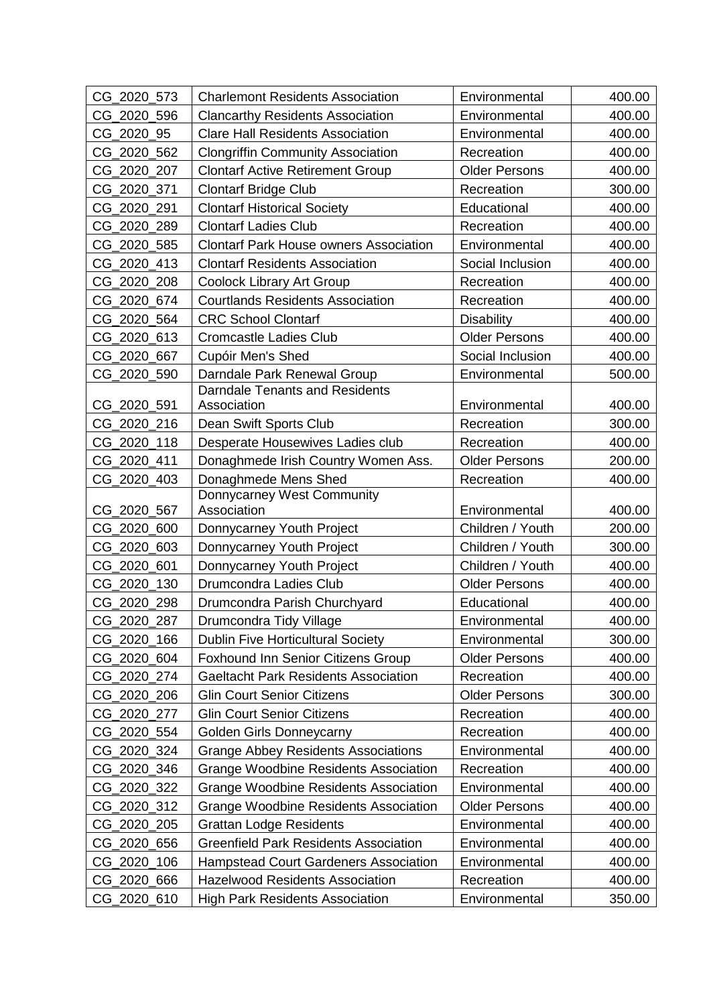| CG 2020 573 | <b>Charlemont Residents Association</b>       | Environmental        | 400.00 |
|-------------|-----------------------------------------------|----------------------|--------|
| CG_2020_596 | <b>Clancarthy Residents Association</b>       | Environmental        | 400.00 |
| CG 2020 95  | <b>Clare Hall Residents Association</b>       | Environmental        | 400.00 |
| CG 2020 562 | <b>Clongriffin Community Association</b>      | Recreation           | 400.00 |
| CG 2020 207 | <b>Clontarf Active Retirement Group</b>       | <b>Older Persons</b> | 400.00 |
| CG_2020_371 | <b>Clontarf Bridge Club</b>                   | Recreation           | 300.00 |
| CG 2020 291 | <b>Clontarf Historical Society</b>            | Educational          | 400.00 |
| CG 2020 289 | <b>Clontarf Ladies Club</b>                   | Recreation           | 400.00 |
| CG_2020_585 | <b>Clontarf Park House owners Association</b> | Environmental        | 400.00 |
| CG 2020 413 | <b>Clontarf Residents Association</b>         | Social Inclusion     | 400.00 |
| CG_2020_208 | Coolock Library Art Group                     | Recreation           | 400.00 |
| CG 2020 674 | <b>Courtlands Residents Association</b>       | Recreation           | 400.00 |
| CG 2020 564 | <b>CRC School Clontarf</b>                    | Disability           | 400.00 |
| CG_2020_613 | <b>Cromcastle Ladies Club</b>                 | <b>Older Persons</b> | 400.00 |
| CG_2020_667 | Cupóir Men's Shed                             | Social Inclusion     | 400.00 |
| CG_2020_590 | Darndale Park Renewal Group                   | Environmental        | 500.00 |
|             | Darndale Tenants and Residents                |                      |        |
| CG 2020 591 | Association                                   | Environmental        | 400.00 |
| CG 2020 216 | Dean Swift Sports Club                        | Recreation           | 300.00 |
| CG_2020_118 | Desperate Housewives Ladies club              | Recreation           | 400.00 |
| CG_2020_411 | Donaghmede Irish Country Women Ass.           | <b>Older Persons</b> | 200.00 |
| CG_2020_403 | Donaghmede Mens Shed                          | Recreation           | 400.00 |
| CG_2020_567 | Donnycarney West Community<br>Association     | Environmental        | 400.00 |
| CG_2020_600 | Donnycarney Youth Project                     | Children / Youth     | 200.00 |
| CG 2020 603 | Donnycarney Youth Project                     | Children / Youth     | 300.00 |
| CG 2020 601 | Donnycarney Youth Project                     | Children / Youth     | 400.00 |
| CG 2020 130 | Drumcondra Ladies Club                        | <b>Older Persons</b> | 400.00 |
| CG_2020_298 | Drumcondra Parish Churchyard                  | Educational          | 400.00 |
| CG_2020_287 | Drumcondra Tidy Village                       | Environmental        | 400.00 |
| CG_2020_166 | <b>Dublin Five Horticultural Society</b>      | Environmental        | 300.00 |
| CG_2020_604 | Foxhound Inn Senior Citizens Group            | <b>Older Persons</b> | 400.00 |
| CG_2020_274 | <b>Gaeltacht Park Residents Association</b>   | Recreation           | 400.00 |
| CG_2020_206 | <b>Glin Court Senior Citizens</b>             | <b>Older Persons</b> | 300.00 |
| CG_2020_277 | <b>Glin Court Senior Citizens</b>             | Recreation           | 400.00 |
| CG_2020_554 | Golden Girls Donneycarny                      | Recreation           | 400.00 |
| CG 2020 324 | <b>Grange Abbey Residents Associations</b>    | Environmental        | 400.00 |
| CG_2020_346 | <b>Grange Woodbine Residents Association</b>  | Recreation           | 400.00 |
| CG_2020_322 | <b>Grange Woodbine Residents Association</b>  | Environmental        | 400.00 |
| CG_2020_312 | <b>Grange Woodbine Residents Association</b>  | <b>Older Persons</b> | 400.00 |
| CG_2020_205 | <b>Grattan Lodge Residents</b>                | Environmental        | 400.00 |
| CG_2020_656 | <b>Greenfield Park Residents Association</b>  | Environmental        | 400.00 |
| CG_2020_106 | <b>Hampstead Court Gardeners Association</b>  | Environmental        | 400.00 |
| CG_2020_666 | <b>Hazelwood Residents Association</b>        | Recreation           | 400.00 |
| CG_2020_610 | <b>High Park Residents Association</b>        | Environmental        | 350.00 |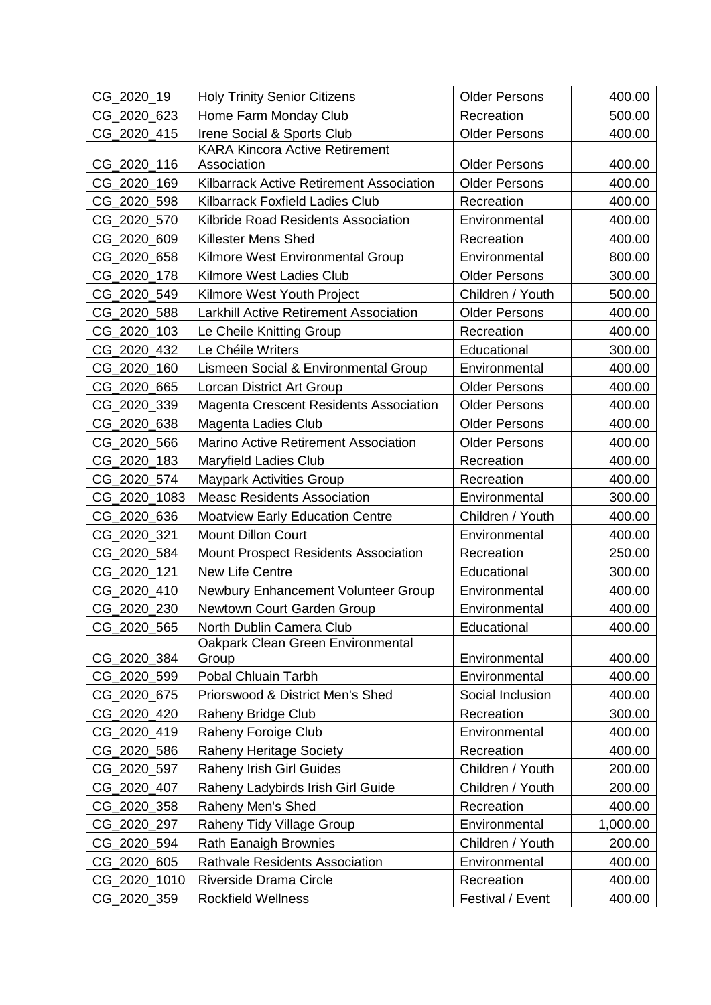| CG 2020 19   | <b>Holy Trinity Senior Citizens</b>           | <b>Older Persons</b> | 400.00   |
|--------------|-----------------------------------------------|----------------------|----------|
| CG_2020_623  | Home Farm Monday Club                         | Recreation           | 500.00   |
| CG_2020_415  | Irene Social & Sports Club                    | <b>Older Persons</b> | 400.00   |
|              | <b>KARA Kincora Active Retirement</b>         |                      |          |
| CG_2020_116  | Association                                   | <b>Older Persons</b> | 400.00   |
| CG_2020_169  | Kilbarrack Active Retirement Association      | <b>Older Persons</b> | 400.00   |
| CG_2020_598  | <b>Kilbarrack Foxfield Ladies Club</b>        | Recreation           | 400.00   |
| CG_2020_570  | Kilbride Road Residents Association           | Environmental        | 400.00   |
| CG_2020_609  | Killester Mens Shed                           | Recreation           | 400.00   |
| CG_2020_658  | Kilmore West Environmental Group              | Environmental        | 800.00   |
| CG 2020 178  | Kilmore West Ladies Club                      | <b>Older Persons</b> | 300.00   |
| CG_2020_549  | Kilmore West Youth Project                    | Children / Youth     | 500.00   |
| CG_2020_588  | <b>Larkhill Active Retirement Association</b> | <b>Older Persons</b> | 400.00   |
| CG 2020 103  | Le Cheile Knitting Group                      | Recreation           | 400.00   |
| CG 2020 432  | Le Chéile Writers                             | Educational          | 300.00   |
| CG 2020 160  | Lismeen Social & Environmental Group          | Environmental        | 400.00   |
| CG_2020_665  | Lorcan District Art Group                     | <b>Older Persons</b> | 400.00   |
| CG 2020 339  | Magenta Crescent Residents Association        | <b>Older Persons</b> | 400.00   |
| CG 2020 638  | Magenta Ladies Club                           | <b>Older Persons</b> | 400.00   |
| CG_2020_566  | Marino Active Retirement Association          | <b>Older Persons</b> | 400.00   |
| CG_2020_183  | Maryfield Ladies Club                         | Recreation           | 400.00   |
| CG 2020 574  | <b>Maypark Activities Group</b>               | Recreation           | 400.00   |
| CG_2020_1083 | <b>Measc Residents Association</b>            | Environmental        | 300.00   |
| CG_2020_636  | <b>Moatview Early Education Centre</b>        | Children / Youth     | 400.00   |
| CG_2020_321  | <b>Mount Dillon Court</b>                     | Environmental        | 400.00   |
| CG 2020 584  | <b>Mount Prospect Residents Association</b>   | Recreation           | 250.00   |
| CG 2020 121  | New Life Centre                               | Educational          | 300.00   |
| CG 2020 410  | Newbury Enhancement Volunteer Group           | Environmental        | 400.00   |
| CG_2020_230  | Newtown Court Garden Group                    | Environmental        | 400.00   |
| CG_2020_565  | North Dublin Camera Club                      | Educational          | 400.00   |
|              | Oakpark Clean Green Environmental             |                      |          |
| CG_2020_384  | Group                                         | Environmental        | 400.00   |
| CG 2020 599  | Pobal Chluain Tarbh                           | Environmental        | 400.00   |
| CG_2020_675  | Priorswood & District Men's Shed              | Social Inclusion     | 400.00   |
| CG_2020_420  | Raheny Bridge Club                            | Recreation           | 300.00   |
| CG_2020_419  | Raheny Foroige Club                           | Environmental        | 400.00   |
| CG_2020_586  | <b>Raheny Heritage Society</b>                | Recreation           | 400.00   |
| CG_2020_597  | <b>Raheny Irish Girl Guides</b>               | Children / Youth     | 200.00   |
| CG_2020_407  | Raheny Ladybirds Irish Girl Guide             | Children / Youth     | 200.00   |
| CG_2020_358  | Raheny Men's Shed                             | Recreation           | 400.00   |
| CG_2020_297  | Raheny Tidy Village Group                     | Environmental        | 1,000.00 |
| CG_2020_594  | <b>Rath Eanaigh Brownies</b>                  | Children / Youth     | 200.00   |
| CG_2020_605  | <b>Rathvale Residents Association</b>         | Environmental        | 400.00   |
| CG_2020_1010 | Riverside Drama Circle                        | Recreation           | 400.00   |
| CG_2020_359  | <b>Rockfield Wellness</b>                     | Festival / Event     | 400.00   |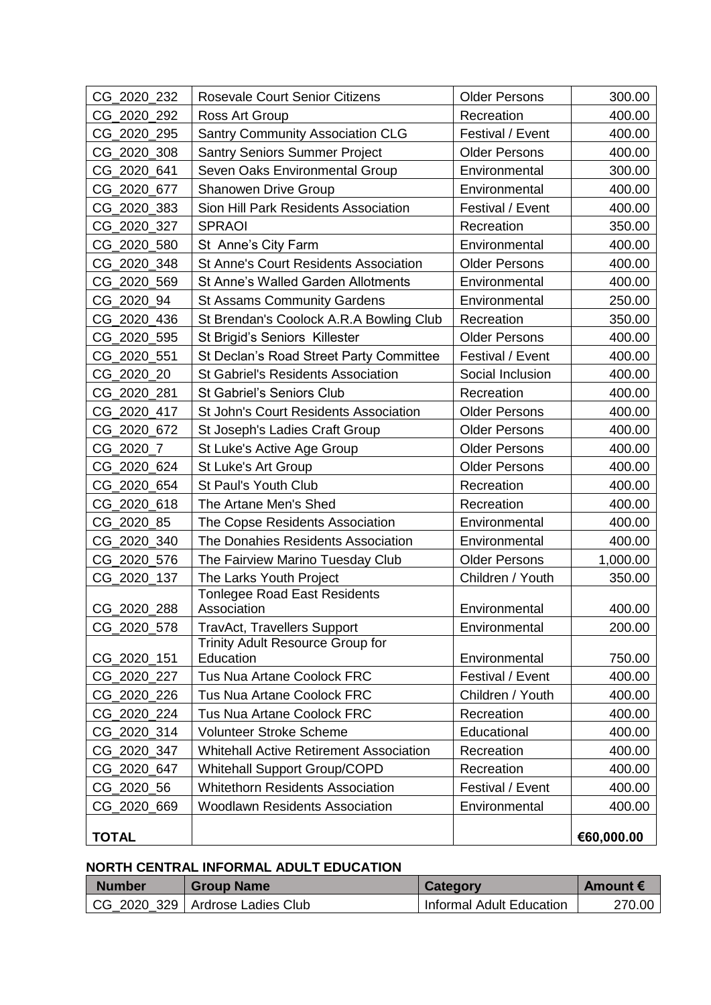| CG_2020_232  | <b>Rosevale Court Senior Citizens</b>                                         | <b>Older Persons</b> | 300.00     |
|--------------|-------------------------------------------------------------------------------|----------------------|------------|
| CG_2020_292  | Ross Art Group                                                                | Recreation           | 400.00     |
| CG 2020 295  | <b>Santry Community Association CLG</b>                                       | Festival / Event     | 400.00     |
| CG_2020_308  | <b>Santry Seniors Summer Project</b>                                          | <b>Older Persons</b> | 400.00     |
| CG_2020_641  | Seven Oaks Environmental Group                                                | Environmental        | 300.00     |
| CG 2020 677  | <b>Shanowen Drive Group</b>                                                   | Environmental        | 400.00     |
| CG_2020_383  | Sion Hill Park Residents Association                                          | Festival / Event     | 400.00     |
| CG_2020_327  | <b>SPRAOI</b>                                                                 | Recreation           | 350.00     |
| CG_2020_580  | St Anne's City Farm                                                           | Environmental        | 400.00     |
| CG_2020_348  | St Anne's Court Residents Association                                         | <b>Older Persons</b> | 400.00     |
| CG_2020_569  | <b>St Anne's Walled Garden Allotments</b>                                     | Environmental        | 400.00     |
| CG_2020_94   | <b>St Assams Community Gardens</b>                                            | Environmental        | 250.00     |
| CG 2020 436  | St Brendan's Coolock A.R.A Bowling Club                                       | Recreation           | 350.00     |
| CG_2020_595  | St Brigid's Seniors Killester                                                 | <b>Older Persons</b> | 400.00     |
| CG_2020_551  | St Declan's Road Street Party Committee                                       | Festival / Event     | 400.00     |
| CG 2020 20   | <b>St Gabriel's Residents Association</b>                                     | Social Inclusion     | 400.00     |
| CG_2020_281  | <b>St Gabriel's Seniors Club</b>                                              | Recreation           | 400.00     |
| CG 2020 417  | <b>St John's Court Residents Association</b>                                  | <b>Older Persons</b> | 400.00     |
| CG_2020_672  | St Joseph's Ladies Craft Group                                                | <b>Older Persons</b> | 400.00     |
| CG 2020 7    | St Luke's Active Age Group                                                    | <b>Older Persons</b> | 400.00     |
| CG_2020_624  | St Luke's Art Group                                                           | <b>Older Persons</b> | 400.00     |
| CG_2020_654  | St Paul's Youth Club                                                          | Recreation           | 400.00     |
| CG_2020_618  | The Artane Men's Shed                                                         | Recreation           | 400.00     |
| CG_2020_85   | The Copse Residents Association                                               | Environmental        | 400.00     |
| CG_2020_340  | The Donahies Residents Association                                            | Environmental        | 400.00     |
| CG_2020_576  | The Fairview Marino Tuesday Club                                              | <b>Older Persons</b> | 1,000.00   |
| CG_2020_137  | The Larks Youth Project                                                       | Children / Youth     | 350.00     |
|              | <b>Tonlegee Road East Residents</b>                                           |                      |            |
| CG_2020_288  | Association                                                                   | Environmental        | 400.00     |
| CG_2020_578  | <b>TravAct, Travellers Support</b><br><b>Trinity Adult Resource Group for</b> | Environmental        | 200.00     |
| CG 2020 151  | Education                                                                     | Environmental        | 750.00     |
| CG 2020 227  | Tus Nua Artane Coolock FRC                                                    | Festival / Event     | 400.00     |
| CG_2020_226  | <b>Tus Nua Artane Coolock FRC</b>                                             | Children / Youth     | 400.00     |
| CG 2020 224  | Tus Nua Artane Coolock FRC                                                    | Recreation           | 400.00     |
| CG_2020_314  | <b>Volunteer Stroke Scheme</b>                                                | Educational          | 400.00     |
| CG_2020_347  | <b>Whitehall Active Retirement Association</b>                                | Recreation           | 400.00     |
| CG_2020_647  | <b>Whitehall Support Group/COPD</b>                                           | Recreation           | 400.00     |
| CG_2020_56   | <b>Whitethorn Residents Association</b>                                       | Festival / Event     | 400.00     |
| CG_2020_669  | <b>Woodlawn Residents Association</b>                                         | Environmental        | 400.00     |
|              |                                                                               |                      |            |
| <b>TOTAL</b> |                                                                               |                      | €60,000.00 |

#### **NORTH CENTRAL INFORMAL ADULT EDUCATION**

| <b>Number</b> | <b>Group Name</b>                 | <b>Category</b>                 | Amount $\epsilon$ |
|---------------|-----------------------------------|---------------------------------|-------------------|
|               | CG 2020 329   Ardrose Ladies Club | <b>Informal Adult Education</b> | 270.00            |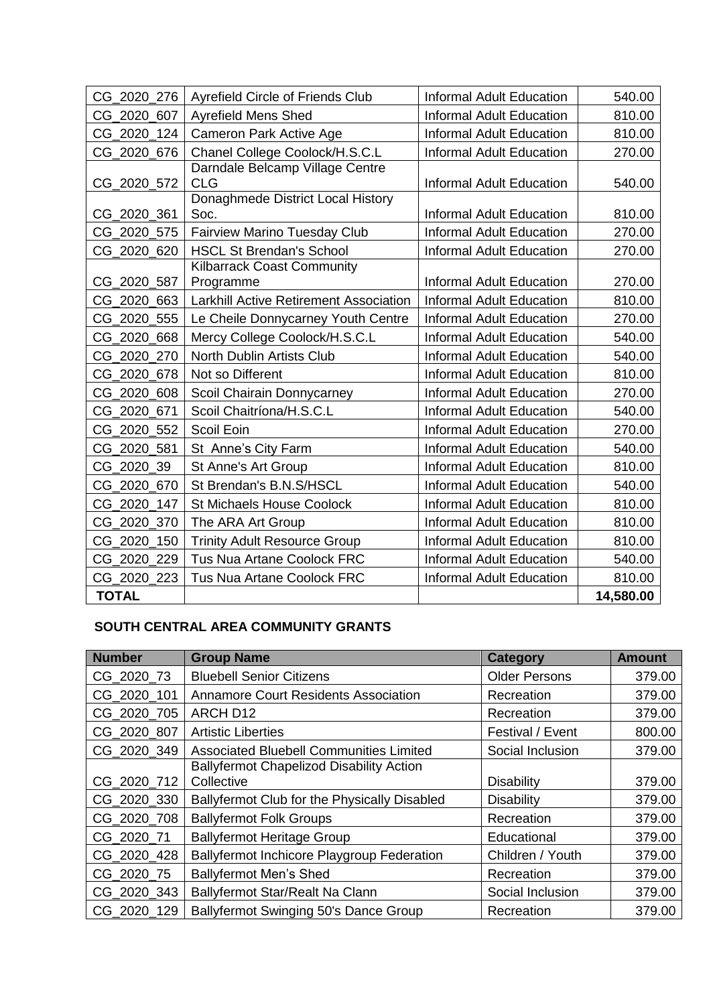| CG 2020 276  | Ayrefield Circle of Friends Club              | <b>Informal Adult Education</b> | 540.00    |
|--------------|-----------------------------------------------|---------------------------------|-----------|
| CG 2020 607  | <b>Ayrefield Mens Shed</b>                    | <b>Informal Adult Education</b> | 810.00    |
| CG_2020_124  | <b>Cameron Park Active Age</b>                | <b>Informal Adult Education</b> | 810.00    |
| CG_2020_676  | Chanel College Coolock/H.S.C.L                | <b>Informal Adult Education</b> | 270.00    |
|              | Darndale Belcamp Village Centre               |                                 |           |
| CG_2020_572  | <b>CLG</b>                                    | <b>Informal Adult Education</b> | 540.00    |
|              | Donaghmede District Local History             |                                 |           |
| CG_2020_361  | Soc.                                          | <b>Informal Adult Education</b> | 810.00    |
| CG_2020_575  | <b>Fairview Marino Tuesday Club</b>           | <b>Informal Adult Education</b> | 270.00    |
| CG_2020_620  | <b>HSCL St Brendan's School</b>               | <b>Informal Adult Education</b> | 270.00    |
|              | <b>Kilbarrack Coast Community</b>             |                                 |           |
| CG 2020 587  | Programme                                     | <b>Informal Adult Education</b> | 270.00    |
| CG 2020 663  | <b>Larkhill Active Retirement Association</b> | Informal Adult Education        | 810.00    |
| CG_2020_555  | Le Cheile Donnycarney Youth Centre            | <b>Informal Adult Education</b> | 270.00    |
| CG 2020 668  | Mercy College Coolock/H.S.C.L                 | <b>Informal Adult Education</b> | 540.00    |
| CG 2020 270  | North Dublin Artists Club                     | <b>Informal Adult Education</b> | 540.00    |
| CG_2020_678  | Not so Different                              | <b>Informal Adult Education</b> | 810.00    |
| CG_2020_608  | Scoil Chairain Donnycarney                    | <b>Informal Adult Education</b> | 270.00    |
| CG 2020 671  | Scoil Chaitríona/H.S.C.L                      | <b>Informal Adult Education</b> | 540.00    |
| CG_2020_552  | Scoil Eoin                                    | <b>Informal Adult Education</b> | 270.00    |
| CG_2020_581  | St Anne's City Farm                           | <b>Informal Adult Education</b> | 540.00    |
| CG_2020_39   | St Anne's Art Group                           | <b>Informal Adult Education</b> | 810.00    |
| CG_2020_670  | St Brendan's B.N.S/HSCL                       | <b>Informal Adult Education</b> | 540.00    |
| CG 2020 147  | <b>St Michaels House Coolock</b>              | <b>Informal Adult Education</b> | 810.00    |
| CG_2020_370  | The ARA Art Group                             | <b>Informal Adult Education</b> | 810.00    |
| CG_2020_150  | <b>Trinity Adult Resource Group</b>           | <b>Informal Adult Education</b> | 810.00    |
| CG_2020_229  | <b>Tus Nua Artane Coolock FRC</b>             | <b>Informal Adult Education</b> | 540.00    |
| CG_2020_223  | <b>Tus Nua Artane Coolock FRC</b>             | <b>Informal Adult Education</b> | 810.00    |
| <b>TOTAL</b> |                                               |                                 | 14,580.00 |

# **SOUTH CENTRAL AREA COMMUNITY GRANTS**

| <b>Number</b> | <b>Group Name</b>                               | <b>Category</b>      | <b>Amount</b> |
|---------------|-------------------------------------------------|----------------------|---------------|
| CG 2020 73    | <b>Bluebell Senior Citizens</b>                 | <b>Older Persons</b> | 379.00        |
| CG 2020 101   | <b>Annamore Court Residents Association</b>     | Recreation           | 379.00        |
| CG 2020 705   | ARCH D12                                        | Recreation           | 379.00        |
| CG 2020 807   | <b>Artistic Liberties</b>                       | Festival / Event     | 800.00        |
| CG_2020_349   | <b>Associated Bluebell Communities Limited</b>  | Social Inclusion     | 379.00        |
|               | <b>Ballyfermot Chapelizod Disability Action</b> |                      |               |
| CG_2020_712   | Collective                                      | <b>Disability</b>    | 379.00        |
| CG 2020 330   | Ballyfermot Club for the Physically Disabled    | <b>Disability</b>    | 379.00        |
| CG 2020 708   | <b>Ballyfermot Folk Groups</b>                  | Recreation           | 379.00        |
| CG_2020_71    | <b>Ballyfermot Heritage Group</b>               | Educational          | 379.00        |
| CG_2020_428   | Ballyfermot Inchicore Playgroup Federation      | Children / Youth     | 379.00        |
| CG 2020 75    | <b>Ballyfermot Men's Shed</b>                   | Recreation           | 379.00        |
| CG 2020 343   | Ballyfermot Star/Realt Na Clann                 | Social Inclusion     | 379.00        |
| CG 2020 129   | Ballyfermot Swinging 50's Dance Group           | Recreation           | 379.00        |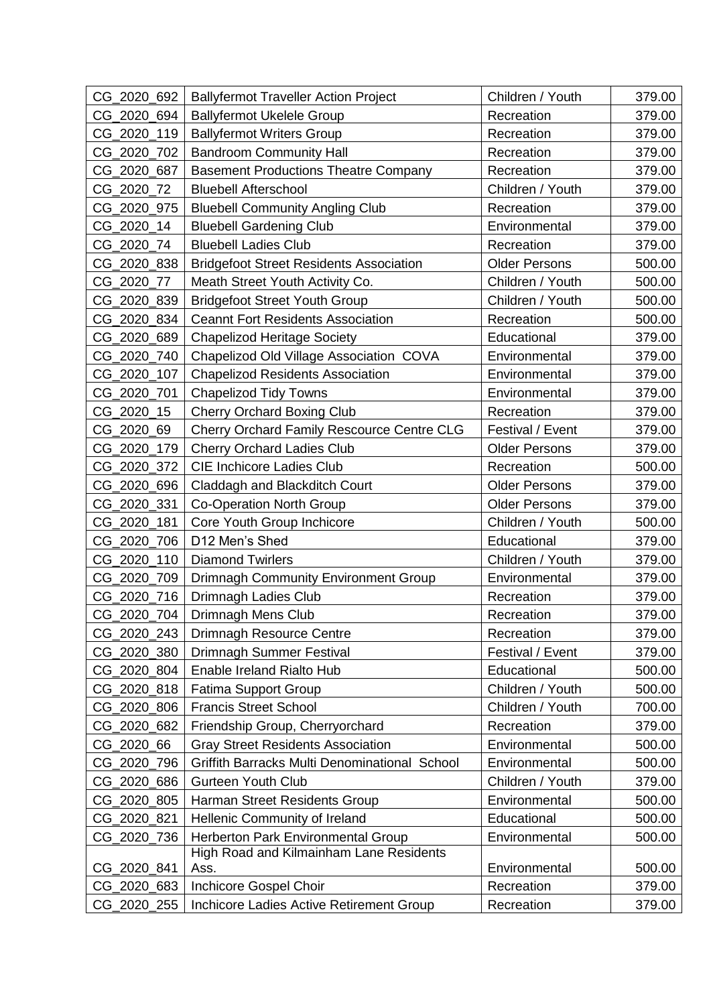| CG_2020_692 | <b>Ballyfermot Traveller Action Project</b>       | Children / Youth     | 379.00 |
|-------------|---------------------------------------------------|----------------------|--------|
| CG_2020_694 | <b>Ballyfermot Ukelele Group</b>                  | Recreation           | 379.00 |
| CG_2020_119 | <b>Ballyfermot Writers Group</b>                  | Recreation           | 379.00 |
| CG_2020_702 | <b>Bandroom Community Hall</b>                    | Recreation           | 379.00 |
| CG 2020 687 | <b>Basement Productions Theatre Company</b>       | Recreation           | 379.00 |
| CG 2020 72  | <b>Bluebell Afterschool</b>                       | Children / Youth     | 379.00 |
| CG_2020_975 | <b>Bluebell Community Angling Club</b>            | Recreation           | 379.00 |
| CG_2020_14  | <b>Bluebell Gardening Club</b>                    | Environmental        | 379.00 |
| CG_2020_74  | <b>Bluebell Ladies Club</b>                       | Recreation           | 379.00 |
| CG 2020 838 | <b>Bridgefoot Street Residents Association</b>    | <b>Older Persons</b> | 500.00 |
| CG_2020_77  | Meath Street Youth Activity Co.                   | Children / Youth     | 500.00 |
| CG 2020 839 | <b>Bridgefoot Street Youth Group</b>              | Children / Youth     | 500.00 |
| CG_2020_834 | <b>Ceannt Fort Residents Association</b>          | Recreation           | 500.00 |
| CG_2020_689 | <b>Chapelizod Heritage Society</b>                | Educational          | 379.00 |
| CG 2020 740 | Chapelizod Old Village Association COVA           | Environmental        | 379.00 |
| CG_2020_107 | <b>Chapelizod Residents Association</b>           | Environmental        | 379.00 |
| CG_2020_701 | <b>Chapelizod Tidy Towns</b>                      | Environmental        | 379.00 |
| CG 2020 15  | <b>Cherry Orchard Boxing Club</b>                 | Recreation           | 379.00 |
| CG_2020_69  | <b>Cherry Orchard Family Rescource Centre CLG</b> | Festival / Event     | 379.00 |
| CG_2020_179 | <b>Cherry Orchard Ladies Club</b>                 | <b>Older Persons</b> | 379.00 |
| CG_2020_372 | <b>CIE Inchicore Ladies Club</b>                  | Recreation           | 500.00 |
| CG_2020_696 | Claddagh and Blackditch Court                     | <b>Older Persons</b> | 379.00 |
| CG_2020_331 | <b>Co-Operation North Group</b>                   | <b>Older Persons</b> | 379.00 |
| CG_2020_181 | Core Youth Group Inchicore                        | Children / Youth     | 500.00 |
| CG_2020_706 | D12 Men's Shed                                    | Educational          | 379.00 |
| CG_2020_110 | <b>Diamond Twirlers</b>                           | Children / Youth     | 379.00 |
| CG_2020_709 | <b>Drimnagh Community Environment Group</b>       | Environmental        | 379.00 |
| CG_2020_716 | Drimnagh Ladies Club                              | Recreation           | 379.00 |
| CG 2020 704 | Drimnagh Mens Club                                | Recreation           | 379.00 |
| CG_2020_243 | <b>Drimnagh Resource Centre</b>                   | Recreation           | 379.00 |
| CG_2020_380 | Drimnagh Summer Festival                          | Festival / Event     | 379.00 |
| CG_2020_804 | Enable Ireland Rialto Hub                         | Educational          | 500.00 |
| CG 2020 818 | <b>Fatima Support Group</b>                       | Children / Youth     | 500.00 |
| CG 2020 806 | <b>Francis Street School</b>                      | Children / Youth     | 700.00 |
| CG_2020_682 | Friendship Group, Cherryorchard                   | Recreation           | 379.00 |
| CG_2020_66  | <b>Gray Street Residents Association</b>          | Environmental        | 500.00 |
| CG_2020_796 | Griffith Barracks Multi Denominational School     | Environmental        | 500.00 |
| CG_2020_686 | <b>Gurteen Youth Club</b>                         | Children / Youth     | 379.00 |
| CG_2020_805 | Harman Street Residents Group                     | Environmental        | 500.00 |
| CG_2020_821 | Hellenic Community of Ireland                     | Educational          | 500.00 |
| CG_2020_736 | Herberton Park Environmental Group                | Environmental        | 500.00 |
|             | High Road and Kilmainham Lane Residents           |                      |        |
| CG_2020_841 | Ass.                                              | Environmental        | 500.00 |
| CG_2020_683 | Inchicore Gospel Choir                            | Recreation           | 379.00 |
| CG_2020_255 | Inchicore Ladies Active Retirement Group          | Recreation           | 379.00 |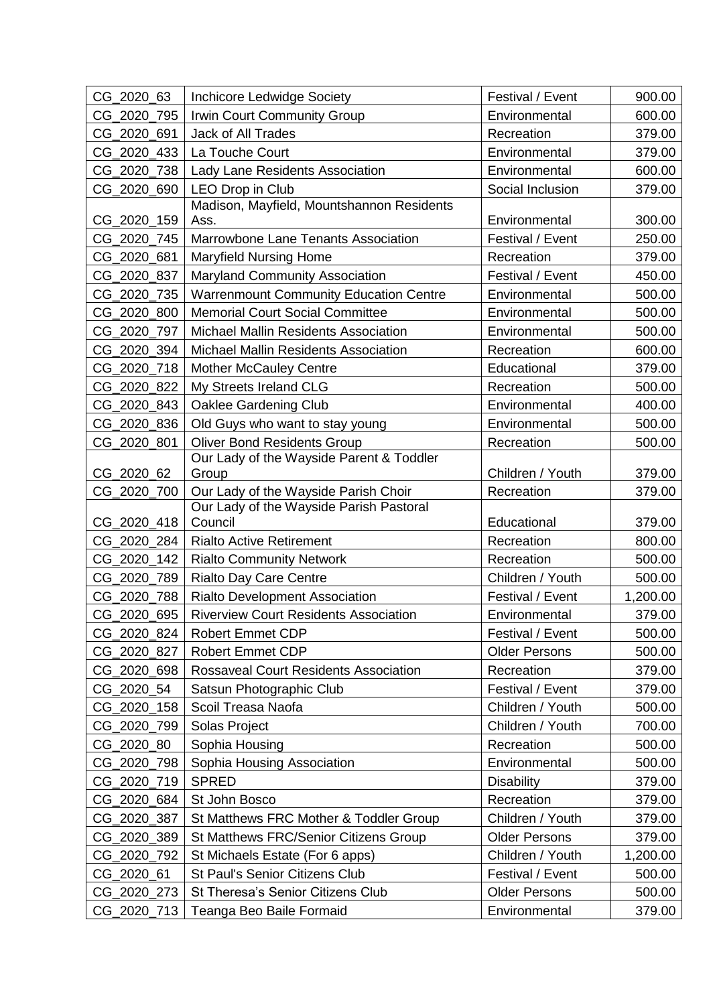| CG_2020_63  | Inchicore Ledwidge Society                                                      | Festival / Event     | 900.00   |
|-------------|---------------------------------------------------------------------------------|----------------------|----------|
| CG_2020_795 | <b>Irwin Court Community Group</b>                                              | Environmental        | 600.00   |
| CG 2020 691 | Jack of All Trades                                                              | Recreation           | 379.00   |
| CG_2020_433 | La Touche Court                                                                 | Environmental        | 379.00   |
| CG_2020_738 | Lady Lane Residents Association                                                 | Environmental        | 600.00   |
| CG_2020_690 | LEO Drop in Club                                                                | Social Inclusion     | 379.00   |
|             | Madison, Mayfield, Mountshannon Residents                                       |                      |          |
| CG_2020_159 | Ass.                                                                            | Environmental        | 300.00   |
| CG 2020 745 | Marrowbone Lane Tenants Association                                             | Festival / Event     | 250.00   |
| CG_2020_681 | <b>Maryfield Nursing Home</b>                                                   | Recreation           | 379.00   |
| CG 2020 837 | <b>Maryland Community Association</b>                                           | Festival / Event     | 450.00   |
| CG_2020_735 | <b>Warrenmount Community Education Centre</b>                                   | Environmental        | 500.00   |
| CG_2020_800 | <b>Memorial Court Social Committee</b>                                          | Environmental        | 500.00   |
| CG 2020 797 | Michael Mallin Residents Association                                            | Environmental        | 500.00   |
| CG_2020_394 | Michael Mallin Residents Association                                            | Recreation           | 600.00   |
| CG 2020 718 | <b>Mother McCauley Centre</b>                                                   | Educational          | 379.00   |
| CG_2020_822 | My Streets Ireland CLG                                                          | Recreation           | 500.00   |
| CG 2020 843 | Oaklee Gardening Club                                                           | Environmental        | 400.00   |
| CG_2020_836 | Old Guys who want to stay young                                                 | Environmental        | 500.00   |
| CG_2020_801 | <b>Oliver Bond Residents Group</b>                                              | Recreation           | 500.00   |
|             | Our Lady of the Wayside Parent & Toddler                                        |                      |          |
| CG_2020_62  | Group                                                                           | Children / Youth     | 379.00   |
| CG_2020_700 | Our Lady of the Wayside Parish Choir<br>Our Lady of the Wayside Parish Pastoral | Recreation           | 379.00   |
| CG_2020_418 | Council                                                                         | Educational          | 379.00   |
| CG_2020_284 | <b>Rialto Active Retirement</b>                                                 | Recreation           | 800.00   |
| CG_2020_142 | <b>Rialto Community Network</b>                                                 | Recreation           | 500.00   |
| CG_2020_789 | <b>Rialto Day Care Centre</b>                                                   | Children / Youth     | 500.00   |
| CG_2020_788 | Rialto Development Association                                                  | Festival / Event     | 1,200.00 |
| CG 2020 695 | <b>Riverview Court Residents Association</b>                                    | Environmental        | 379.00   |
| CG_2020_824 | <b>Robert Emmet CDP</b>                                                         | Festival / Event     | 500.00   |
| CG_2020_827 | <b>Robert Emmet CDP</b>                                                         | <b>Older Persons</b> | 500.00   |
| CG 2020 698 | <b>Rossaveal Court Residents Association</b>                                    | Recreation           | 379.00   |
| CG_2020_54  | Satsun Photographic Club                                                        | Festival / Event     | 379.00   |
| CG_2020_158 | Scoil Treasa Naofa                                                              | Children / Youth     | 500.00   |
| CG_2020_799 | Solas Project                                                                   | Children / Youth     | 700.00   |
| CG_2020_80  | Sophia Housing                                                                  | Recreation           | 500.00   |
| CG 2020 798 | Sophia Housing Association                                                      | Environmental        | 500.00   |
| CG_2020_719 | <b>SPRED</b>                                                                    | <b>Disability</b>    | 379.00   |
| CG_2020_684 | St John Bosco                                                                   | Recreation           | 379.00   |
| CG_2020_387 | St Matthews FRC Mother & Toddler Group                                          | Children / Youth     | 379.00   |
| CG_2020_389 | St Matthews FRC/Senior Citizens Group                                           | <b>Older Persons</b> | 379.00   |
| CG_2020_792 | St Michaels Estate (For 6 apps)                                                 | Children / Youth     | 1,200.00 |
| CG_2020_61  | <b>St Paul's Senior Citizens Club</b>                                           | Festival / Event     | 500.00   |
| CG_2020_273 | St Theresa's Senior Citizens Club                                               | <b>Older Persons</b> | 500.00   |
| CG_2020_713 | Teanga Beo Baile Formaid                                                        | Environmental        | 379.00   |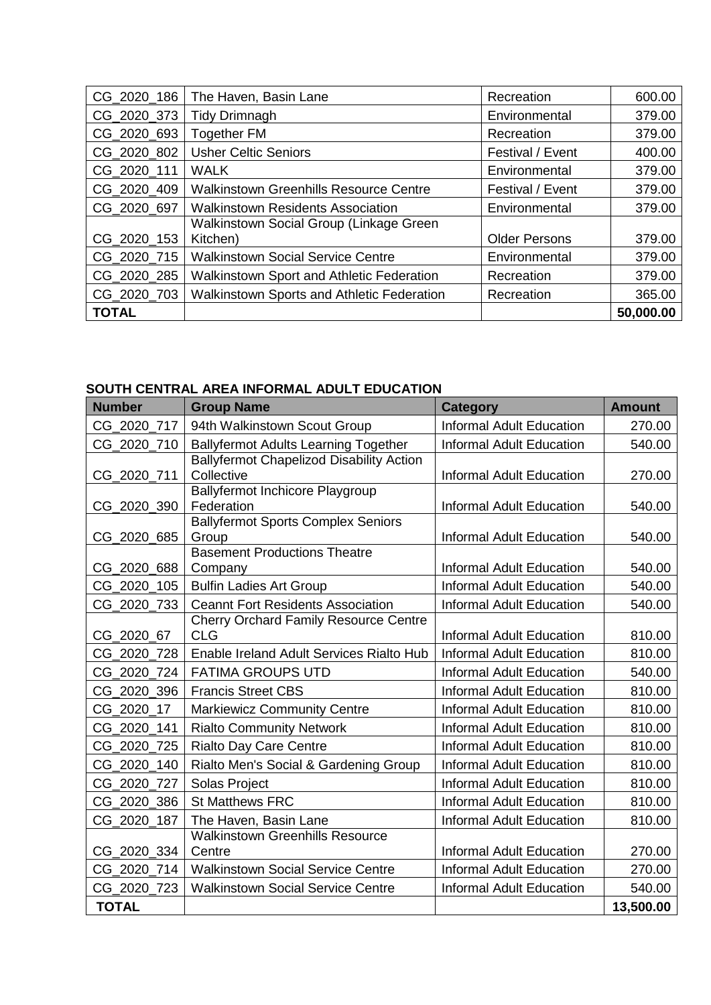| CG_2020_186  | The Haven, Basin Lane                             | Recreation           | 600.00    |
|--------------|---------------------------------------------------|----------------------|-----------|
| CG_2020_373  | <b>Tidy Drimnagh</b>                              | Environmental        | 379.00    |
| CG_2020_693  | <b>Together FM</b>                                | Recreation           | 379.00    |
| CG_2020_802  | <b>Usher Celtic Seniors</b>                       | Festival / Event     | 400.00    |
| CG_2020_111  | <b>WALK</b>                                       | Environmental        | 379.00    |
| CG 2020 409  | <b>Walkinstown Greenhills Resource Centre</b>     | Festival / Event     | 379.00    |
| CG 2020 697  | <b>Walkinstown Residents Association</b>          | Environmental        | 379.00    |
|              | Walkinstown Social Group (Linkage Green           |                      |           |
| CG_2020_153  | Kitchen)                                          | <b>Older Persons</b> | 379.00    |
| CG_2020_715  | <b>Walkinstown Social Service Centre</b>          | Environmental        | 379.00    |
| CG 2020 285  | Walkinstown Sport and Athletic Federation         | Recreation           | 379.00    |
| CG_2020_703  | <b>Walkinstown Sports and Athletic Federation</b> | Recreation           | 365.00    |
| <b>TOTAL</b> |                                                   |                      | 50,000.00 |

# **SOUTH CENTRAL AREA INFORMAL ADULT EDUCATION**

| <b>Number</b> | <b>Group Name</b>                                             | <b>Category</b>                 | <b>Amount</b> |
|---------------|---------------------------------------------------------------|---------------------------------|---------------|
| CG 2020 717   | 94th Walkinstown Scout Group                                  | <b>Informal Adult Education</b> | 270.00        |
| CG 2020 710   | <b>Ballyfermot Adults Learning Together</b>                   | <b>Informal Adult Education</b> | 540.00        |
| CG_2020_711   | <b>Ballyfermot Chapelizod Disability Action</b><br>Collective | <b>Informal Adult Education</b> | 270.00        |
| CG_2020_390   | Ballyfermot Inchicore Playgroup<br>Federation                 | <b>Informal Adult Education</b> | 540.00        |
| CG_2020_685   | <b>Ballyfermot Sports Complex Seniors</b><br>Group            | <b>Informal Adult Education</b> | 540.00        |
| CG_2020_688   | <b>Basement Productions Theatre</b><br>Company                | <b>Informal Adult Education</b> | 540.00        |
| CG_2020_105   | <b>Bulfin Ladies Art Group</b>                                | <b>Informal Adult Education</b> | 540.00        |
| CG 2020 733   | <b>Ceannt Fort Residents Association</b>                      | <b>Informal Adult Education</b> | 540.00        |
| CG_2020_67    | <b>Cherry Orchard Family Resource Centre</b><br><b>CLG</b>    | <b>Informal Adult Education</b> | 810.00        |
| CG 2020 728   | Enable Ireland Adult Services Rialto Hub                      | <b>Informal Adult Education</b> | 810.00        |
| CG 2020 724   | <b>FATIMA GROUPS UTD</b>                                      | <b>Informal Adult Education</b> | 540.00        |
| CG_2020_396   | <b>Francis Street CBS</b>                                     | <b>Informal Adult Education</b> | 810.00        |
| CG 2020 17    | <b>Markiewicz Community Centre</b>                            | <b>Informal Adult Education</b> | 810.00        |
| CG 2020 141   | <b>Rialto Community Network</b>                               | <b>Informal Adult Education</b> | 810.00        |
| CG_2020_725   | <b>Rialto Day Care Centre</b>                                 | <b>Informal Adult Education</b> | 810.00        |
| CG 2020 140   | Rialto Men's Social & Gardening Group                         | <b>Informal Adult Education</b> | 810.00        |
| CG_2020_727   | Solas Project                                                 | <b>Informal Adult Education</b> | 810.00        |
| CG 2020 386   | <b>St Matthews FRC</b>                                        | <b>Informal Adult Education</b> | 810.00        |
| CG_2020_187   | The Haven, Basin Lane                                         | <b>Informal Adult Education</b> | 810.00        |
| CG_2020_334   | <b>Walkinstown Greenhills Resource</b><br>Centre              | <b>Informal Adult Education</b> | 270.00        |
| CG_2020_714   | <b>Walkinstown Social Service Centre</b>                      | <b>Informal Adult Education</b> | 270.00        |
| CG_2020_723   | <b>Walkinstown Social Service Centre</b>                      | <b>Informal Adult Education</b> | 540.00        |
| <b>TOTAL</b>  |                                                               |                                 | 13,500.00     |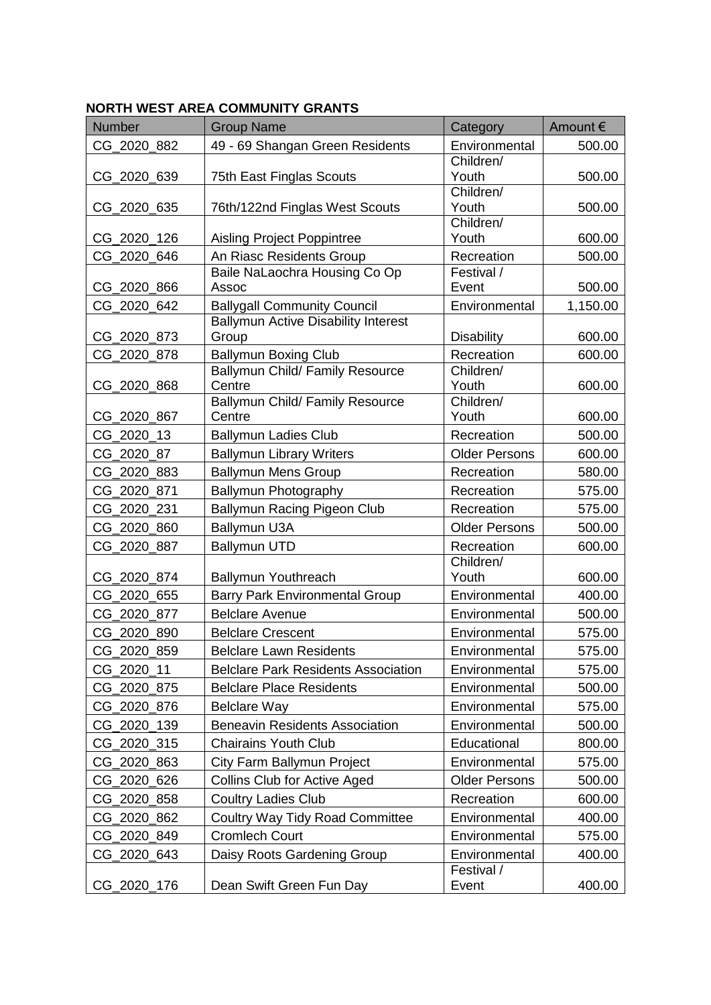# **NORTH WEST AREA COMMUNITY GRANTS**

| <b>Number</b> | <b>Group Name</b>                                              | Category                | Amount $\epsilon$ |
|---------------|----------------------------------------------------------------|-------------------------|-------------------|
| CG_2020_882   | 49 - 69 Shangan Green Residents                                | Environmental           | 500.00            |
|               |                                                                | Children/               |                   |
| CG_2020_639   | 75th East Finglas Scouts                                       | Youth                   | 500.00            |
| CG_2020_635   | 76th/122nd Finglas West Scouts                                 | Children/<br>Youth      | 500.00            |
|               |                                                                | Children/               |                   |
| CG 2020 126   | <b>Aisling Project Poppintree</b>                              | Youth                   | 600.00            |
| CG_2020_646   | An Riasc Residents Group                                       | Recreation              | 500.00            |
|               | Baile NaLaochra Housing Co Op                                  | Festival /              |                   |
| CG 2020 866   | Assoc                                                          | Event                   | 500.00            |
| CG 2020 642   | <b>Ballygall Community Council</b>                             | Environmental           | 1,150.00          |
|               | <b>Ballymun Active Disability Interest</b>                     |                         |                   |
| CG_2020_873   | Group                                                          | <b>Disability</b>       | 600.00            |
| CG 2020 878   | <b>Ballymun Boxing Club</b><br>Ballymun Child/ Family Resource | Recreation<br>Children/ | 600.00            |
| CG_2020_868   | Centre                                                         | Youth                   | 600.00            |
|               | <b>Ballymun Child/ Family Resource</b>                         | Children/               |                   |
| CG_2020_867   | Centre                                                         | Youth                   | 600.00            |
| CG_2020_13    | <b>Ballymun Ladies Club</b>                                    | Recreation              | 500.00            |
| CG_2020_87    | <b>Ballymun Library Writers</b>                                | <b>Older Persons</b>    | 600.00            |
| CG_2020_883   | <b>Ballymun Mens Group</b>                                     | Recreation              | 580.00            |
| CG_2020_871   | <b>Ballymun Photography</b>                                    | Recreation              | 575.00            |
| CG 2020 231   | <b>Ballymun Racing Pigeon Club</b>                             | Recreation              | 575.00            |
| CG_2020_860   | Ballymun U3A                                                   | <b>Older Persons</b>    | 500.00            |
| CG_2020_887   | <b>Ballymun UTD</b>                                            | Recreation              | 600.00            |
|               |                                                                | Children/               |                   |
| CG_2020_874   | <b>Ballymun Youthreach</b>                                     | Youth                   | 600.00            |
| CG_2020_655   | <b>Barry Park Environmental Group</b>                          | Environmental           | 400.00            |
| CG_2020_877   | <b>Belclare Avenue</b>                                         | Environmental           | 500.00            |
| CG_2020_890   | <b>Belclare Crescent</b>                                       | Environmental           | 575.00            |
| CG_2020_859   | <b>Belclare Lawn Residents</b>                                 | Environmental           | 575.00            |
| CG_2020_11    | <b>Belclare Park Residents Association</b>                     | Environmental           | 575.00            |
| CG_2020_875   | <b>Belclare Place Residents</b>                                | Environmental           | 500.00            |
| CG 2020 876   | <b>Belclare Way</b>                                            | Environmental           | 575.00            |
| CG_2020_139   | <b>Beneavin Residents Association</b>                          | Environmental           | 500.00            |
| CG_2020_315   | <b>Chairains Youth Club</b>                                    | Educational             | 800.00            |
| CG_2020_863   | City Farm Ballymun Project                                     | Environmental           | 575.00            |
| CG_2020_626   | <b>Collins Club for Active Aged</b>                            | <b>Older Persons</b>    | 500.00            |
| CG_2020_858   | <b>Coultry Ladies Club</b>                                     | Recreation              | 600.00            |
| CG_2020_862   | <b>Coultry Way Tidy Road Committee</b>                         | Environmental           | 400.00            |
| CG_2020_849   | <b>Cromlech Court</b>                                          | Environmental           | 575.00            |
| CG_2020_643   | Daisy Roots Gardening Group                                    | Environmental           | 400.00            |
|               |                                                                | Festival /              |                   |
| CG_2020_176   | Dean Swift Green Fun Day                                       | Event                   | 400.00            |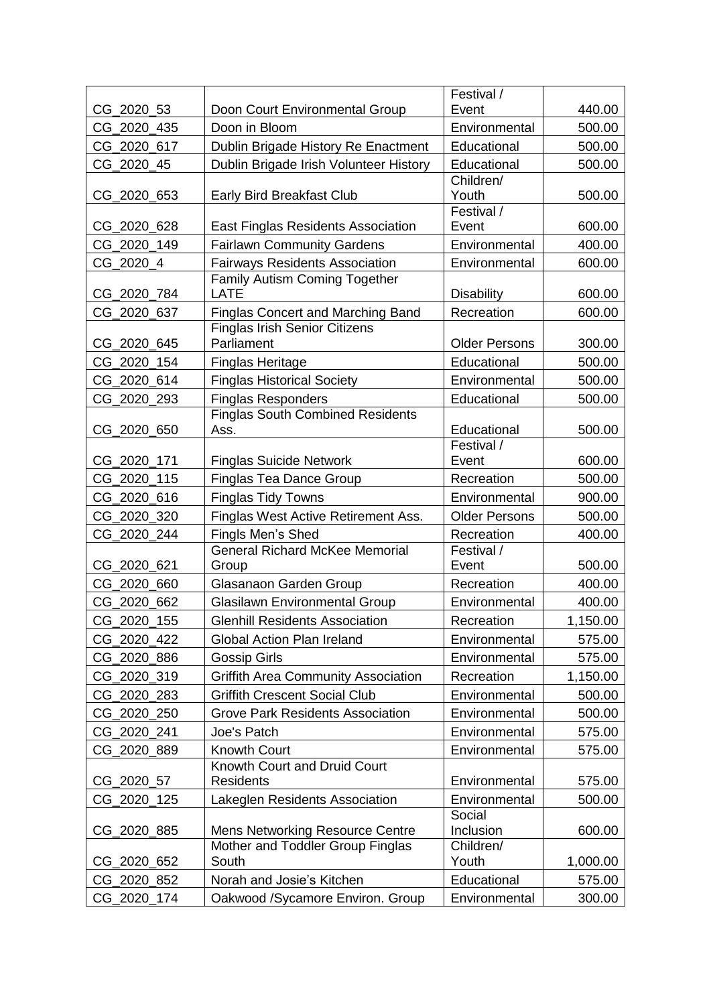|             |                                            | Festival /                |          |
|-------------|--------------------------------------------|---------------------------|----------|
| CG 2020_53  | Doon Court Environmental Group             | Event                     | 440.00   |
| CG_2020_435 | Doon in Bloom                              | Environmental             | 500.00   |
| CG_2020_617 | Dublin Brigade History Re Enactment        | Educational               | 500.00   |
| CG_2020_45  | Dublin Brigade Irish Volunteer History     | Educational               | 500.00   |
|             |                                            | Children/                 |          |
| CG_2020_653 | <b>Early Bird Breakfast Club</b>           | Youth                     | 500.00   |
| CG 2020 628 | East Finglas Residents Association         | Festival /<br>Event       | 600.00   |
| CG 2020 149 | <b>Fairlawn Community Gardens</b>          | Environmental             | 400.00   |
| CG_2020_4   | <b>Fairways Residents Association</b>      | Environmental             | 600.00   |
|             | <b>Family Autism Coming Together</b>       |                           |          |
| CG_2020_784 | <b>LATE</b>                                | <b>Disability</b>         | 600.00   |
| CG_2020_637 | <b>Finglas Concert and Marching Band</b>   | Recreation                | 600.00   |
|             | <b>Finglas Irish Senior Citizens</b>       |                           |          |
| CG 2020 645 | Parliament                                 | <b>Older Persons</b>      | 300.00   |
| CG_2020_154 | <b>Finglas Heritage</b>                    | Educational               | 500.00   |
| CG_2020_614 | <b>Finglas Historical Society</b>          | Environmental             | 500.00   |
| CG 2020 293 | <b>Finglas Responders</b>                  | Educational               | 500.00   |
|             | <b>Finglas South Combined Residents</b>    |                           |          |
| CG_2020_650 | Ass.                                       | Educational<br>Festival / | 500.00   |
| CG_2020_171 | <b>Finglas Suicide Network</b>             | Event                     | 600.00   |
| CG_2020_115 | <b>Finglas Tea Dance Group</b>             | Recreation                | 500.00   |
| CG_2020_616 | <b>Finglas Tidy Towns</b>                  | Environmental             | 900.00   |
| CG_2020_320 | Finglas West Active Retirement Ass.        | <b>Older Persons</b>      | 500.00   |
| CG_2020_244 | Fingls Men's Shed                          | Recreation                | 400.00   |
|             | <b>General Richard McKee Memorial</b>      | Festival /                |          |
| CG_2020_621 | Group                                      | Event                     | 500.00   |
| CG_2020_660 | Glasanaon Garden Group                     | Recreation                | 400.00   |
| CG_2020_662 | <b>Glasilawn Environmental Group</b>       | Environmental             | 400.00   |
| CG_2020_155 | <b>Glenhill Residents Association</b>      | Recreation                | 1,150.00 |
| CG 2020 422 | Global Action Plan Ireland                 | Environmental             | 575.00   |
| CG_2020_886 | <b>Gossip Girls</b>                        | Environmental             | 575.00   |
| CG_2020_319 | <b>Griffith Area Community Association</b> | Recreation                | 1,150.00 |
| CG_2020_283 | <b>Griffith Crescent Social Club</b>       | Environmental             | 500.00   |
| CG_2020_250 | <b>Grove Park Residents Association</b>    | Environmental             | 500.00   |
| CG 2020 241 | Joe's Patch                                | Environmental             | 575.00   |
| CG_2020_889 | Knowth Court                               | Environmental             | 575.00   |
|             | Knowth Court and Druid Court               |                           |          |
| CG_2020_57  | <b>Residents</b>                           | Environmental             | 575.00   |
| CG_2020_125 | Lakeglen Residents Association             | Environmental             | 500.00   |
| CG_2020_885 | <b>Mens Networking Resource Centre</b>     | Social<br>Inclusion       | 600.00   |
|             | Mother and Toddler Group Finglas           | Children/                 |          |
| CG_2020_652 | South                                      | Youth                     | 1,000.00 |
| CG_2020_852 | Norah and Josie's Kitchen                  | Educational               | 575.00   |
| CG_2020_174 | Oakwood / Sycamore Environ. Group          | Environmental             | 300.00   |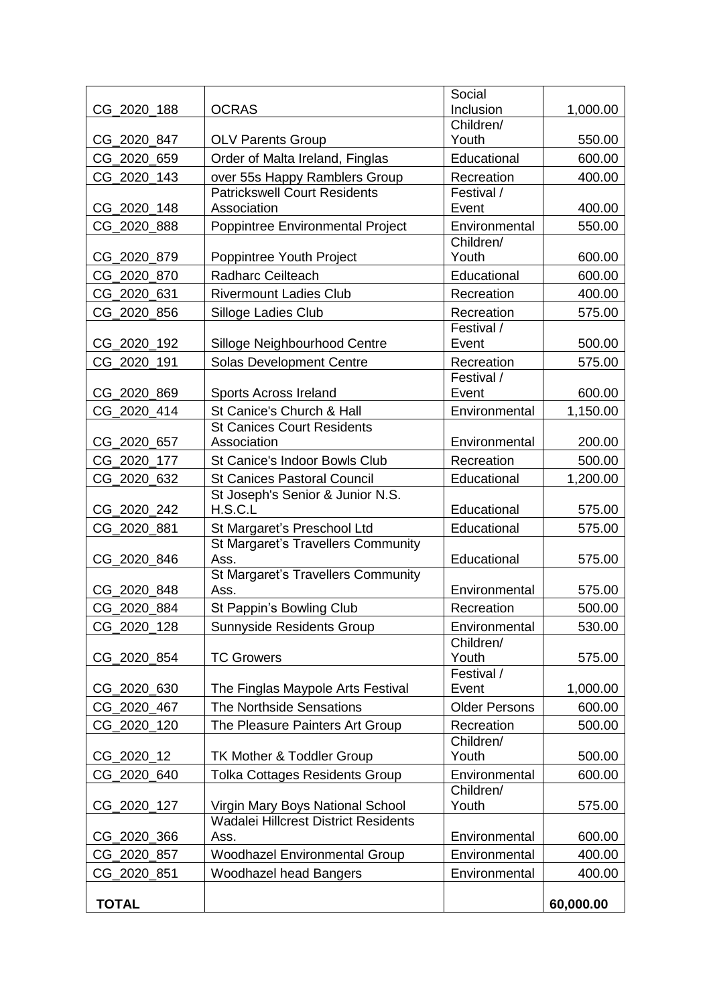|              |                                                                   | Social               |           |
|--------------|-------------------------------------------------------------------|----------------------|-----------|
| CG_2020_188  | <b>OCRAS</b>                                                      | Inclusion            | 1,000.00  |
|              |                                                                   | Children/            |           |
| CG_2020_847  | <b>OLV Parents Group</b>                                          | Youth                | 550.00    |
| CG_2020_659  | Order of Malta Ireland, Finglas                                   | Educational          | 600.00    |
| CG_2020_143  | over 55s Happy Ramblers Group                                     | Recreation           | 400.00    |
|              | <b>Patrickswell Court Residents</b>                               | Festival /           |           |
| CG_2020_148  | Association                                                       | Event                | 400.00    |
| CG_2020_888  | Poppintree Environmental Project                                  | Environmental        | 550.00    |
|              |                                                                   | Children/            |           |
| CG_2020_879  | Poppintree Youth Project                                          | Youth                | 600.00    |
| CG_2020_870  | <b>Radharc Ceilteach</b>                                          | Educational          | 600.00    |
| CG_2020_631  | <b>Rivermount Ladies Club</b>                                     | Recreation           | 400.00    |
| CG_2020_856  | Silloge Ladies Club                                               | Recreation           | 575.00    |
|              |                                                                   | Festival /           |           |
| CG 2020 192  | Silloge Neighbourhood Centre                                      | Event                | 500.00    |
| CG 2020 191  | Solas Development Centre                                          | Recreation           | 575.00    |
|              |                                                                   | Festival /           |           |
| CG_2020_869  | <b>Sports Across Ireland</b>                                      | Event                | 600.00    |
| CG_2020_414  | St Canice's Church & Hall                                         | Environmental        | 1,150.00  |
|              | <b>St Canices Court Residents</b>                                 |                      |           |
| CG_2020_657  | Association                                                       | Environmental        | 200.00    |
| CG_2020_177  | St Canice's Indoor Bowls Club                                     | Recreation           | 500.00    |
| CG_2020_632  | <b>St Canices Pastoral Council</b>                                | Educational          | 1,200.00  |
| CG 2020 242  | St Joseph's Senior & Junior N.S.<br>H.S.C.L                       | Educational          |           |
|              |                                                                   |                      | 575.00    |
| CG_2020_881  | St Margaret's Preschool Ltd<br>St Margaret's Travellers Community | Educational          | 575.00    |
| CG_2020_846  | Ass.                                                              | Educational          | 575.00    |
|              | St Margaret's Travellers Community                                |                      |           |
| CG_2020_848  | Ass.                                                              | Environmental        | 575.00    |
| CG_2020_884  | St Pappin's Bowling Club                                          | Recreation           | 500.00    |
| CG_2020_128  | <b>Sunnyside Residents Group</b>                                  | Environmental        | 530.00    |
|              |                                                                   | Children/            |           |
| CG_2020_854  | <b>TC Growers</b>                                                 | Youth                | 575.00    |
|              |                                                                   | Festival /           |           |
| CG_2020_630  | The Finglas Maypole Arts Festival                                 | Event                | 1,000.00  |
| CG_2020_467  | The Northside Sensations                                          | <b>Older Persons</b> | 600.00    |
| CG_2020_120  | The Pleasure Painters Art Group                                   | Recreation           | 500.00    |
|              |                                                                   | Children/            |           |
| CG_2020_12   | TK Mother & Toddler Group                                         | Youth                | 500.00    |
| CG 2020 640  | <b>Tolka Cottages Residents Group</b>                             | Environmental        | 600.00    |
|              |                                                                   | Children/            |           |
| CG_2020_127  | Virgin Mary Boys National School                                  | Youth                | 575.00    |
|              | <b>Wadalei Hillcrest District Residents</b>                       |                      |           |
| CG_2020_366  | Ass.                                                              | Environmental        | 600.00    |
| CG_2020_857  | <b>Woodhazel Environmental Group</b>                              | Environmental        | 400.00    |
| CG_2020_851  | <b>Woodhazel head Bangers</b>                                     | Environmental        | 400.00    |
|              |                                                                   |                      |           |
| <b>TOTAL</b> |                                                                   |                      | 60,000.00 |